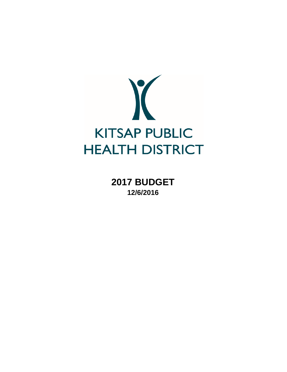

**2017 BUDGET 12/6/2016**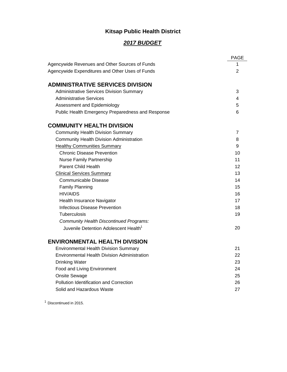# **Kitsap Public Health District**

# *2017 BUDGET*

|                                                     | <b>PAGE</b> |
|-----------------------------------------------------|-------------|
| Agencywide Revenues and Other Sources of Funds      | 1           |
| Agencywide Expenditures and Other Uses of Funds     | 2           |
|                                                     |             |
| <b>ADMINISTRATIVE SERVICES DIVISION</b>             |             |
| <b>Administrative Services Division Summary</b>     | 3           |
| <b>Administrative Services</b>                      | 4           |
| Assessment and Epidemiology                         | 5           |
| Public Health Emergency Preparedness and Response   | 6           |
| <b>COMMUNITY HEALTH DIVISION</b>                    |             |
| <b>Community Health Division Summary</b>            | 7           |
| <b>Community Health Division Administration</b>     | 8           |
| <b>Healthy Communities Summary</b>                  | 9           |
| <b>Chronic Disease Prevention</b>                   | 10          |
| <b>Nurse Family Partnership</b>                     | 11          |
| <b>Parent Child Health</b>                          | 12          |
| <b>Clinical Services Summary</b>                    | 13          |
| Communicable Disease                                | 14          |
| <b>Family Planning</b>                              | 15          |
| <b>HIV/AIDS</b>                                     | 16          |
| Health Insurance Navigator                          | 17          |
| Infectious Disease Prevention                       | 18          |
| Tuberculosis                                        | 19          |
| <b>Community Health Discontinued Programs:</b>      |             |
| Juvenile Detention Adolescent Health <sup>1</sup>   | 20          |
| <b>ENVIRONMENTAL HEALTH DIVISION</b>                |             |
| <b>Environmental Health Division Summary</b>        | 21          |
| <b>Environmental Health Division Administration</b> | 22          |
| <b>Drinking Water</b>                               | 23          |
| Food and Living Environment                         | 24          |
| Onsite Sewage                                       | 25          |
| <b>Pollution Identification and Correction</b>      | 26          |
| Solid and Hazardous Waste                           | 27          |
|                                                     |             |

<sup>1</sup> Discontinued in 2015.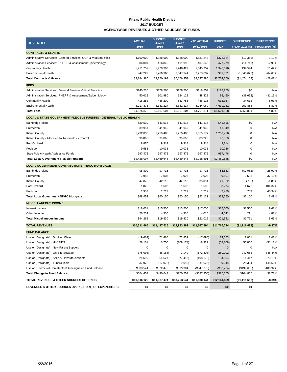#### **Kitsap Public Health District 2017 BUDGET AGENCYWIDE REVENUES & OTHER SOURCES OF FUNDS**

| <b>REVENUES</b>                                                   | <b>ACTUAL</b> | <b>BUDGET-</b><br>Amd 1 | <b>BUDGET-</b><br>Amd <sub>2</sub> | <b>YTD ACTUAL</b> | <b>BUDGET</b> | <b>DIFFERENCE</b>     | <b>DIFFERENCE</b> |
|-------------------------------------------------------------------|---------------|-------------------------|------------------------------------|-------------------|---------------|-----------------------|-------------------|
|                                                                   | 2015          | 2016                    | 2016                               | 10/31/2016        | 2017          | <b>FROM 2016 (\$)</b> | FROM 2016 (%)     |
| <b>CONTRACTS &amp; GRANTS</b>                                     |               |                         |                                    |                   |               |                       |                   |
| Administrative Services: General Services, OCH & Vital Statistics | \$100,000     | \$388,000               | \$388,000                          | \$531,243         | \$375,634     | (\$12,366)            | $-3.19%$          |
| Administration Services: PHEPR & Assessment/Epidemiology          | 386,001       | 416,840                 | 491,990                            | 407,048           | 477,279       | (14, 711)             | $-2.99%$          |
| <b>Community Health</b>                                           | 1,711,752     | 1,778,393               | 1,748,422                          | 1,345,957         | 1,948,016     | 199,594               | 11.42%            |
| <b>Environmental Health</b>                                       | 947,227       | 1,266,960               | 2,547,941                          | 2,263,037         | 901,321       | (1,646,620)           | $-64.63%$         |
| <b>Total Contracts &amp; Grants</b>                               | \$3,144,980   | \$3,850,193             | \$5,176,353                        | \$4,547,285       | \$3,702,250   | (\$1,474,103)         | $-28.48%$         |
| <b>FEES</b>                                                       |               |                         |                                    |                   |               |                       |                   |
| Administrative Services: General Services & Vital Statistics      | \$140,230     | \$178,200               | \$178,200                          | \$118,859         | \$178,200     | \$0                   | N/A               |
| Administration Services: PHEPR & Assessment/Epidemiology          | 50,015        | 101,980                 | 124,122                            | 48,328            | 85,460        | (38, 662)             | $-31.15%$         |
| <b>Community Health</b>                                           | 418,252       | 446,200                 | 583,755                            | 486,115           | 618,367       | 34,612                | 5.93%             |
| <b>Environmental Health</b>                                       | 4,017,373     | 4,381,227               | 4,381,227                          | 4,054,069         | 4,639,081     | 257,854               | 5.89%             |
| <b>Total Fees</b>                                                 | \$4,625,870   | \$5,107,607             | \$5,267,304                        | \$4,707,371       | \$5,521,108   | \$253,804             | 4.82%             |
| LOCAL & STATE GOVERNMENT FLEXIBLE FUNDING - GENERAL PUBLIC HEALTH |               |                         |                                    |                   |               |                       |                   |
| Bainbridge Island                                                 | \$39,539      | \$41,516                | \$41,516                           | \$41,516          | \$41,516      | \$0                   | N/A               |
| Bremerton                                                         | 39,951        | 41,949                  | 41,949                             | 41,949            | 41,949        | $\mathbf 0$           | N/A               |
| <b>Kitsap County</b>                                              | 1,232,835     | 1,259,486               | 1,259,486                          | 1,055,177         | 1,259,486     | 0                     | N/A               |
| Kitsap County - Allocated to Tuberculosis Control                 | 99,868        | 99,868                  | 99,868                             | 83,223            | 99,868        | 0                     | N/A               |
| Port Orchard                                                      | 8,870         | 9,314                   | 9,314                              | 9,314             | 9,314         | $\mathbf 0$           | N/A               |
| Poulsbo                                                           | 9,558         | 10,036                  | 10,036                             | 10,036            | 10,036        | 0                     | N/A               |
| State Public Health Assistance Funds                              | 997,476       | 997,476                 | 997,476                            | 997,476           | 997,476       | 0                     | N/A               |
| <b>Total Local Government Flexible Funding</b>                    | \$2,428,097   | \$2,459,645             | \$2,459,645                        | \$2,238,691       | \$2,459,645   | \$0                   | N/A               |
| <b>LOCAL GOVERNMENT CONTRIBUTIONS - NDGC MORTGAGE</b>             |               |                         |                                    |                   |               |                       |                   |
| Bainbridge Island                                                 | \$8,800       | \$7,715                 | \$7,715                            | \$7,715           | \$5,633       | (\$2,082)             | -26.99%           |
| Bremerton                                                         | 7,988         | 7,003                   | 7,003                              | 7,003             | 9,601         | 2,598                 | 37.10%            |
| <b>Kitsap County</b>                                              | 47,878        | 42,113                  | 42,113                             | 35,094            | 41,322        | (791)                 | $-1.88%$          |
| Port Orchard                                                      | 1,828         | 1,602                   | 1,602                              | 1,602             | 3,274         | 1,672                 | 104.37%           |
| Poulsbo                                                           | 1,959         | 1,717                   | 1,717                              | 1,717             | 2,420         | 703                   | 40.94%            |
| <b>Total Local Government NDGC Mortgage</b>                       | \$68,453      | \$60,150                | \$60,150                           | \$53,131          | \$62,250      | \$2,100               | 3.49%             |
| <b>MISCELLANEOUS INCOME</b>                                       |               |                         |                                    |                   |               |                       |                   |
| Interest Income                                                   | \$18,031      | \$15,500                | \$15,500                           | \$17,006          | \$17,000      | \$1,500               | 9.68%             |
| Other Income                                                      | 26,234        | 4,330                   | 4,330                              | 4,010             | 4,541         | 211                   | 4.87%             |
| <b>Total Miscellaneous Income</b>                                 | \$44,265      | \$19,830                | \$19,830                           | \$21,016          | \$21,541      | \$1,711               | 8.63%             |
| <b>TOTAL REVENUES</b>                                             | \$10,311,665  | \$11,497,425            | \$12,983,282                       | \$11,567,494      | \$11,766,794  | (\$1,216,488)         | $-9.37%$          |
| <b>FUND BALANCE</b>                                               |               |                         |                                    |                   |               |                       |                   |
| Use or (Designate): Drinking Water                                | (19,662)      | 71,460                  | 72,852                             | (17,696)          | 74,653        | 1,801                 | 2.47%             |
| Use or (Designate): HIV/AIDS                                      | 28,101        | 6,750                   | (109, 174)                         | 18,327            | (53, 308)     | 55,866                | $-51.17%$         |
| Use or (Designate): New Parent Support                            | 0             | 0                       | 0                                  | $\Omega$          | $\Omega$      | 0                     | N/A               |
| Use or (Designate): On-Site Sewage                                | (175,098)     | (8, 188)                | 3,149                              | (172, 408)        | 250,202       | 247,053               | 7845.44%          |
| Use or (Designate): Solid & Hazardous Waste                       | 24,599        | 64,627                  | (77, 413)                          | (108, 175)        | 134,004       | 211,417               | $-273.10%$        |
| Use or (Designate): Tuberculosis                                  | 37,973        | (17, 073)               | (19,056)                           | (9,623)           | 9,248         | 28,304                | $-148.53%$        |
| Use or (Source) of Unrestricted/Undesignated Fund Balance         | \$608,544     | \$372,473               | \$399,901                          | (\$347,775)       | (\$39,734)    | (\$439,635)           | -109.94%          |
| <b>Total Change in Fund Balance</b>                               | \$504,457     | \$490,049               | \$270,259                          | (\$637,350)       | \$375,065     | \$104,806             | 38.78%            |
| TOTAL REVENUES & OTHER SOURCES OF FUNDS                           | \$10,816,122  | \$11,987,474            | \$13,253,541                       | \$10,930,144      | \$12,141,859  | (\$1,111,682)         | -8.39%            |
| <b>REVENUES &amp; OTHER SOURCES OVER (SHORT) OF EXPENDITURES</b>  | \$0           | \$0                     | \$0                                | \$0               | \$0           | \$0                   |                   |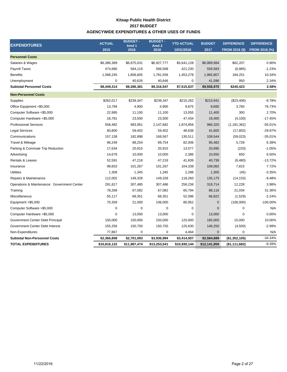### **Kitsap Public Health District AGENCYWIDE EXPENDITURES & OTHER USES OF FUNDS 2017 BUDGET**

| 2015<br>2016<br>FROM 2016 (%)<br>2016<br>10/31/2016<br>2017<br><b>FROM 2016 (\$)</b><br><b>Personnel Costs</b><br>Salaries & Wages<br>\$6,386,389<br>\$6,875,031<br>\$6,927,777<br>\$5,641,128<br>\$6,989,984<br>\$62,207<br>Payroll Taxes<br>474,680<br>564,119<br>566,568<br>421,230<br>559,583<br>(6,985)<br><b>Benefits</b><br>1,588,245<br>1,806,605<br>1,781,556<br>1,453,279<br>1,965,807<br>184,251<br>$\mathbf 0$<br>40,646<br>0<br>41,596<br>950<br>Unemployment<br>40,626<br>\$8,449,314<br>\$9,286,381<br>\$9,316,547<br>\$7,515,637<br>\$240,423<br><b>Subtotal Personnel Costs</b><br>\$9,556,970<br><b>Non-Personnel Costs</b><br>\$262,017<br>Supplies<br>\$239,347<br>\$239,347<br>\$215,262<br>\$215,941<br>(\$23,406)<br>13,794<br>Office Equipment <\$5,000<br>4,900<br>4,900<br>9,875<br>8,660<br>3,760<br>300<br>Computer Software <\$5,000<br>22,995<br>11,100<br>11,100<br>13,055<br>11,400<br>Computer Hardware <\$5,000<br>18,781<br>23,500<br>23,500<br>47,434<br>(4, 100)<br>19,400<br><b>Professional Services</b><br>558,482<br>983,951<br>2,147,682<br>966,320<br>(1, 181, 362)<br>1,874,856<br><b>Legal Services</b><br>60,800<br>59,402<br>59,402<br>48,638<br>41,600<br>(17, 802)<br>157,138<br>168,567<br>Communications<br>182,898<br>130,511<br>109,544<br>(59,023)<br>96,249<br>82,006<br>Travel & Mileage<br>88,254<br>89,754<br>95,482<br>5,728<br>Parking & Commute Trip Reduction<br>17,634<br>20,915<br>20,915<br>13,577<br>20,695<br>(220)<br>14,679<br>10,000<br>2,386<br>10,650<br>650<br>Advertising<br>10,000<br>52,591<br><b>Rentals &amp; Leases</b><br>47,218<br>47,218<br>41,839<br>40,738<br>(6,480)<br>99,653<br>101,267<br>101,267<br>104,338<br>109,082<br>7,815<br>Insurance<br><b>Utilities</b><br>1,308<br>2,298<br>1,300<br>1,345<br>1,345<br>(45)<br>Repairs & Maintenance<br>112,002<br>149,328<br>149,328<br>118,260<br>135,175<br>(14, 153)<br>Operations & Maintenance: Government Center<br>291,817<br>307,485<br>307,486<br>256,236<br>319,714<br>12,228<br>78,269<br>21,034<br>67,082<br>67,082<br>65,794<br>88,116<br>Training<br>Miscellaneous<br>55,117<br>68,351<br>68,351<br>52,096<br>66,822<br>(1,529)<br>70,359<br>80,952<br>$\mathbf 0$<br>(106,000)<br>21,000<br>106,000<br>Equipment > \$5,000<br>$\mathbf 0$<br>Computer Software >\$5,000<br>0<br>0<br>0<br>$\mathbf{0}$<br>0<br>$\mathbf 0$<br>Computer Hardware > \$5,000<br>13,000<br>13,000<br>0<br>13,000<br>0<br>Government Center Debt Principal<br>150,000<br>150,000<br>150,000<br>125,000<br>165,000<br>15,000<br>Government Center Debt Interest<br>155,256<br>150,750<br>150,750<br>125,630<br>146,250<br>(4,500)<br>0<br>77,867<br>0<br>0<br>4,464<br>$\mathbf 0$<br>Non-Expenditures<br>(\$1,352,105)<br><b>Subtotal Non-Personnel Costs</b><br>\$2,366,808<br>\$2,701,093<br>\$3,936,994<br>\$3,414,507<br>\$2,584,889<br><b>TOTAL EXPENDITURES</b><br>\$10,816,122<br>\$13,253,541<br>(\$1,111,682)<br>\$11,987,474<br>\$10,930,144<br>\$12,141,859 | <b>EXPENDITURES</b> | <b>ACTUAL</b> | <b>BUDGET -</b><br>Amd 1 | <b>BUDGET -</b><br>Amd <sub>2</sub> | <b>YTD ACTUAL</b> | <b>BUDGET</b> | <b>DIFFERENCE</b> | <b>DIFFERENCE</b> |
|------------------------------------------------------------------------------------------------------------------------------------------------------------------------------------------------------------------------------------------------------------------------------------------------------------------------------------------------------------------------------------------------------------------------------------------------------------------------------------------------------------------------------------------------------------------------------------------------------------------------------------------------------------------------------------------------------------------------------------------------------------------------------------------------------------------------------------------------------------------------------------------------------------------------------------------------------------------------------------------------------------------------------------------------------------------------------------------------------------------------------------------------------------------------------------------------------------------------------------------------------------------------------------------------------------------------------------------------------------------------------------------------------------------------------------------------------------------------------------------------------------------------------------------------------------------------------------------------------------------------------------------------------------------------------------------------------------------------------------------------------------------------------------------------------------------------------------------------------------------------------------------------------------------------------------------------------------------------------------------------------------------------------------------------------------------------------------------------------------------------------------------------------------------------------------------------------------------------------------------------------------------------------------------------------------------------------------------------------------------------------------------------------------------------------------------------------------------------------------------------------------------------------------------------------------------------------------------------------------------------------------------------------------------------------------------------------------------------------------------------------------------------------------------------------------------------------------------------------------------------------------------------------------------------------------------------------------------------------------------------------|---------------------|---------------|--------------------------|-------------------------------------|-------------------|---------------|-------------------|-------------------|
|                                                                                                                                                                                                                                                                                                                                                                                                                                                                                                                                                                                                                                                                                                                                                                                                                                                                                                                                                                                                                                                                                                                                                                                                                                                                                                                                                                                                                                                                                                                                                                                                                                                                                                                                                                                                                                                                                                                                                                                                                                                                                                                                                                                                                                                                                                                                                                                                                                                                                                                                                                                                                                                                                                                                                                                                                                                                                                                                                                                                      |                     |               |                          |                                     |                   |               |                   |                   |
|                                                                                                                                                                                                                                                                                                                                                                                                                                                                                                                                                                                                                                                                                                                                                                                                                                                                                                                                                                                                                                                                                                                                                                                                                                                                                                                                                                                                                                                                                                                                                                                                                                                                                                                                                                                                                                                                                                                                                                                                                                                                                                                                                                                                                                                                                                                                                                                                                                                                                                                                                                                                                                                                                                                                                                                                                                                                                                                                                                                                      |                     |               |                          |                                     |                   |               |                   |                   |
|                                                                                                                                                                                                                                                                                                                                                                                                                                                                                                                                                                                                                                                                                                                                                                                                                                                                                                                                                                                                                                                                                                                                                                                                                                                                                                                                                                                                                                                                                                                                                                                                                                                                                                                                                                                                                                                                                                                                                                                                                                                                                                                                                                                                                                                                                                                                                                                                                                                                                                                                                                                                                                                                                                                                                                                                                                                                                                                                                                                                      |                     |               |                          |                                     |                   |               |                   | 0.90%             |
|                                                                                                                                                                                                                                                                                                                                                                                                                                                                                                                                                                                                                                                                                                                                                                                                                                                                                                                                                                                                                                                                                                                                                                                                                                                                                                                                                                                                                                                                                                                                                                                                                                                                                                                                                                                                                                                                                                                                                                                                                                                                                                                                                                                                                                                                                                                                                                                                                                                                                                                                                                                                                                                                                                                                                                                                                                                                                                                                                                                                      |                     |               |                          |                                     |                   |               |                   | $-1.23%$          |
|                                                                                                                                                                                                                                                                                                                                                                                                                                                                                                                                                                                                                                                                                                                                                                                                                                                                                                                                                                                                                                                                                                                                                                                                                                                                                                                                                                                                                                                                                                                                                                                                                                                                                                                                                                                                                                                                                                                                                                                                                                                                                                                                                                                                                                                                                                                                                                                                                                                                                                                                                                                                                                                                                                                                                                                                                                                                                                                                                                                                      |                     |               |                          |                                     |                   |               |                   | 10.34%            |
|                                                                                                                                                                                                                                                                                                                                                                                                                                                                                                                                                                                                                                                                                                                                                                                                                                                                                                                                                                                                                                                                                                                                                                                                                                                                                                                                                                                                                                                                                                                                                                                                                                                                                                                                                                                                                                                                                                                                                                                                                                                                                                                                                                                                                                                                                                                                                                                                                                                                                                                                                                                                                                                                                                                                                                                                                                                                                                                                                                                                      |                     |               |                          |                                     |                   |               |                   | 2.34%             |
|                                                                                                                                                                                                                                                                                                                                                                                                                                                                                                                                                                                                                                                                                                                                                                                                                                                                                                                                                                                                                                                                                                                                                                                                                                                                                                                                                                                                                                                                                                                                                                                                                                                                                                                                                                                                                                                                                                                                                                                                                                                                                                                                                                                                                                                                                                                                                                                                                                                                                                                                                                                                                                                                                                                                                                                                                                                                                                                                                                                                      |                     |               |                          |                                     |                   |               |                   | 2.58%             |
|                                                                                                                                                                                                                                                                                                                                                                                                                                                                                                                                                                                                                                                                                                                                                                                                                                                                                                                                                                                                                                                                                                                                                                                                                                                                                                                                                                                                                                                                                                                                                                                                                                                                                                                                                                                                                                                                                                                                                                                                                                                                                                                                                                                                                                                                                                                                                                                                                                                                                                                                                                                                                                                                                                                                                                                                                                                                                                                                                                                                      |                     |               |                          |                                     |                   |               |                   |                   |
|                                                                                                                                                                                                                                                                                                                                                                                                                                                                                                                                                                                                                                                                                                                                                                                                                                                                                                                                                                                                                                                                                                                                                                                                                                                                                                                                                                                                                                                                                                                                                                                                                                                                                                                                                                                                                                                                                                                                                                                                                                                                                                                                                                                                                                                                                                                                                                                                                                                                                                                                                                                                                                                                                                                                                                                                                                                                                                                                                                                                      |                     |               |                          |                                     |                   |               |                   | $-9.78%$          |
|                                                                                                                                                                                                                                                                                                                                                                                                                                                                                                                                                                                                                                                                                                                                                                                                                                                                                                                                                                                                                                                                                                                                                                                                                                                                                                                                                                                                                                                                                                                                                                                                                                                                                                                                                                                                                                                                                                                                                                                                                                                                                                                                                                                                                                                                                                                                                                                                                                                                                                                                                                                                                                                                                                                                                                                                                                                                                                                                                                                                      |                     |               |                          |                                     |                   |               |                   | 76.73%            |
|                                                                                                                                                                                                                                                                                                                                                                                                                                                                                                                                                                                                                                                                                                                                                                                                                                                                                                                                                                                                                                                                                                                                                                                                                                                                                                                                                                                                                                                                                                                                                                                                                                                                                                                                                                                                                                                                                                                                                                                                                                                                                                                                                                                                                                                                                                                                                                                                                                                                                                                                                                                                                                                                                                                                                                                                                                                                                                                                                                                                      |                     |               |                          |                                     |                   |               |                   | 2.70%             |
|                                                                                                                                                                                                                                                                                                                                                                                                                                                                                                                                                                                                                                                                                                                                                                                                                                                                                                                                                                                                                                                                                                                                                                                                                                                                                                                                                                                                                                                                                                                                                                                                                                                                                                                                                                                                                                                                                                                                                                                                                                                                                                                                                                                                                                                                                                                                                                                                                                                                                                                                                                                                                                                                                                                                                                                                                                                                                                                                                                                                      |                     |               |                          |                                     |                   |               |                   | $-17.45%$         |
|                                                                                                                                                                                                                                                                                                                                                                                                                                                                                                                                                                                                                                                                                                                                                                                                                                                                                                                                                                                                                                                                                                                                                                                                                                                                                                                                                                                                                                                                                                                                                                                                                                                                                                                                                                                                                                                                                                                                                                                                                                                                                                                                                                                                                                                                                                                                                                                                                                                                                                                                                                                                                                                                                                                                                                                                                                                                                                                                                                                                      |                     |               |                          |                                     |                   |               |                   | $-55.01%$         |
|                                                                                                                                                                                                                                                                                                                                                                                                                                                                                                                                                                                                                                                                                                                                                                                                                                                                                                                                                                                                                                                                                                                                                                                                                                                                                                                                                                                                                                                                                                                                                                                                                                                                                                                                                                                                                                                                                                                                                                                                                                                                                                                                                                                                                                                                                                                                                                                                                                                                                                                                                                                                                                                                                                                                                                                                                                                                                                                                                                                                      |                     |               |                          |                                     |                   |               |                   | -29.97%           |
|                                                                                                                                                                                                                                                                                                                                                                                                                                                                                                                                                                                                                                                                                                                                                                                                                                                                                                                                                                                                                                                                                                                                                                                                                                                                                                                                                                                                                                                                                                                                                                                                                                                                                                                                                                                                                                                                                                                                                                                                                                                                                                                                                                                                                                                                                                                                                                                                                                                                                                                                                                                                                                                                                                                                                                                                                                                                                                                                                                                                      |                     |               |                          |                                     |                   |               |                   | $-35.01%$         |
|                                                                                                                                                                                                                                                                                                                                                                                                                                                                                                                                                                                                                                                                                                                                                                                                                                                                                                                                                                                                                                                                                                                                                                                                                                                                                                                                                                                                                                                                                                                                                                                                                                                                                                                                                                                                                                                                                                                                                                                                                                                                                                                                                                                                                                                                                                                                                                                                                                                                                                                                                                                                                                                                                                                                                                                                                                                                                                                                                                                                      |                     |               |                          |                                     |                   |               |                   | 6.38%             |
|                                                                                                                                                                                                                                                                                                                                                                                                                                                                                                                                                                                                                                                                                                                                                                                                                                                                                                                                                                                                                                                                                                                                                                                                                                                                                                                                                                                                                                                                                                                                                                                                                                                                                                                                                                                                                                                                                                                                                                                                                                                                                                                                                                                                                                                                                                                                                                                                                                                                                                                                                                                                                                                                                                                                                                                                                                                                                                                                                                                                      |                     |               |                          |                                     |                   |               |                   | $-1.05%$          |
|                                                                                                                                                                                                                                                                                                                                                                                                                                                                                                                                                                                                                                                                                                                                                                                                                                                                                                                                                                                                                                                                                                                                                                                                                                                                                                                                                                                                                                                                                                                                                                                                                                                                                                                                                                                                                                                                                                                                                                                                                                                                                                                                                                                                                                                                                                                                                                                                                                                                                                                                                                                                                                                                                                                                                                                                                                                                                                                                                                                                      |                     |               |                          |                                     |                   |               |                   | 6.50%             |
|                                                                                                                                                                                                                                                                                                                                                                                                                                                                                                                                                                                                                                                                                                                                                                                                                                                                                                                                                                                                                                                                                                                                                                                                                                                                                                                                                                                                                                                                                                                                                                                                                                                                                                                                                                                                                                                                                                                                                                                                                                                                                                                                                                                                                                                                                                                                                                                                                                                                                                                                                                                                                                                                                                                                                                                                                                                                                                                                                                                                      |                     |               |                          |                                     |                   |               |                   | $-13.72%$         |
|                                                                                                                                                                                                                                                                                                                                                                                                                                                                                                                                                                                                                                                                                                                                                                                                                                                                                                                                                                                                                                                                                                                                                                                                                                                                                                                                                                                                                                                                                                                                                                                                                                                                                                                                                                                                                                                                                                                                                                                                                                                                                                                                                                                                                                                                                                                                                                                                                                                                                                                                                                                                                                                                                                                                                                                                                                                                                                                                                                                                      |                     |               |                          |                                     |                   |               |                   | 7.72%             |
|                                                                                                                                                                                                                                                                                                                                                                                                                                                                                                                                                                                                                                                                                                                                                                                                                                                                                                                                                                                                                                                                                                                                                                                                                                                                                                                                                                                                                                                                                                                                                                                                                                                                                                                                                                                                                                                                                                                                                                                                                                                                                                                                                                                                                                                                                                                                                                                                                                                                                                                                                                                                                                                                                                                                                                                                                                                                                                                                                                                                      |                     |               |                          |                                     |                   |               |                   | $-3.35%$          |
|                                                                                                                                                                                                                                                                                                                                                                                                                                                                                                                                                                                                                                                                                                                                                                                                                                                                                                                                                                                                                                                                                                                                                                                                                                                                                                                                                                                                                                                                                                                                                                                                                                                                                                                                                                                                                                                                                                                                                                                                                                                                                                                                                                                                                                                                                                                                                                                                                                                                                                                                                                                                                                                                                                                                                                                                                                                                                                                                                                                                      |                     |               |                          |                                     |                   |               |                   | $-9.48%$          |
|                                                                                                                                                                                                                                                                                                                                                                                                                                                                                                                                                                                                                                                                                                                                                                                                                                                                                                                                                                                                                                                                                                                                                                                                                                                                                                                                                                                                                                                                                                                                                                                                                                                                                                                                                                                                                                                                                                                                                                                                                                                                                                                                                                                                                                                                                                                                                                                                                                                                                                                                                                                                                                                                                                                                                                                                                                                                                                                                                                                                      |                     |               |                          |                                     |                   |               |                   | 3.98%             |
|                                                                                                                                                                                                                                                                                                                                                                                                                                                                                                                                                                                                                                                                                                                                                                                                                                                                                                                                                                                                                                                                                                                                                                                                                                                                                                                                                                                                                                                                                                                                                                                                                                                                                                                                                                                                                                                                                                                                                                                                                                                                                                                                                                                                                                                                                                                                                                                                                                                                                                                                                                                                                                                                                                                                                                                                                                                                                                                                                                                                      |                     |               |                          |                                     |                   |               |                   | 31.36%            |
|                                                                                                                                                                                                                                                                                                                                                                                                                                                                                                                                                                                                                                                                                                                                                                                                                                                                                                                                                                                                                                                                                                                                                                                                                                                                                                                                                                                                                                                                                                                                                                                                                                                                                                                                                                                                                                                                                                                                                                                                                                                                                                                                                                                                                                                                                                                                                                                                                                                                                                                                                                                                                                                                                                                                                                                                                                                                                                                                                                                                      |                     |               |                          |                                     |                   |               |                   | $-2.24%$          |
|                                                                                                                                                                                                                                                                                                                                                                                                                                                                                                                                                                                                                                                                                                                                                                                                                                                                                                                                                                                                                                                                                                                                                                                                                                                                                                                                                                                                                                                                                                                                                                                                                                                                                                                                                                                                                                                                                                                                                                                                                                                                                                                                                                                                                                                                                                                                                                                                                                                                                                                                                                                                                                                                                                                                                                                                                                                                                                                                                                                                      |                     |               |                          |                                     |                   |               |                   | $-100.00%$        |
|                                                                                                                                                                                                                                                                                                                                                                                                                                                                                                                                                                                                                                                                                                                                                                                                                                                                                                                                                                                                                                                                                                                                                                                                                                                                                                                                                                                                                                                                                                                                                                                                                                                                                                                                                                                                                                                                                                                                                                                                                                                                                                                                                                                                                                                                                                                                                                                                                                                                                                                                                                                                                                                                                                                                                                                                                                                                                                                                                                                                      |                     |               |                          |                                     |                   |               |                   | N/A               |
|                                                                                                                                                                                                                                                                                                                                                                                                                                                                                                                                                                                                                                                                                                                                                                                                                                                                                                                                                                                                                                                                                                                                                                                                                                                                                                                                                                                                                                                                                                                                                                                                                                                                                                                                                                                                                                                                                                                                                                                                                                                                                                                                                                                                                                                                                                                                                                                                                                                                                                                                                                                                                                                                                                                                                                                                                                                                                                                                                                                                      |                     |               |                          |                                     |                   |               |                   | 0.00%             |
|                                                                                                                                                                                                                                                                                                                                                                                                                                                                                                                                                                                                                                                                                                                                                                                                                                                                                                                                                                                                                                                                                                                                                                                                                                                                                                                                                                                                                                                                                                                                                                                                                                                                                                                                                                                                                                                                                                                                                                                                                                                                                                                                                                                                                                                                                                                                                                                                                                                                                                                                                                                                                                                                                                                                                                                                                                                                                                                                                                                                      |                     |               |                          |                                     |                   |               |                   | 10.00%            |
|                                                                                                                                                                                                                                                                                                                                                                                                                                                                                                                                                                                                                                                                                                                                                                                                                                                                                                                                                                                                                                                                                                                                                                                                                                                                                                                                                                                                                                                                                                                                                                                                                                                                                                                                                                                                                                                                                                                                                                                                                                                                                                                                                                                                                                                                                                                                                                                                                                                                                                                                                                                                                                                                                                                                                                                                                                                                                                                                                                                                      |                     |               |                          |                                     |                   |               |                   | $-2.99%$          |
|                                                                                                                                                                                                                                                                                                                                                                                                                                                                                                                                                                                                                                                                                                                                                                                                                                                                                                                                                                                                                                                                                                                                                                                                                                                                                                                                                                                                                                                                                                                                                                                                                                                                                                                                                                                                                                                                                                                                                                                                                                                                                                                                                                                                                                                                                                                                                                                                                                                                                                                                                                                                                                                                                                                                                                                                                                                                                                                                                                                                      |                     |               |                          |                                     |                   |               |                   | N/A               |
|                                                                                                                                                                                                                                                                                                                                                                                                                                                                                                                                                                                                                                                                                                                                                                                                                                                                                                                                                                                                                                                                                                                                                                                                                                                                                                                                                                                                                                                                                                                                                                                                                                                                                                                                                                                                                                                                                                                                                                                                                                                                                                                                                                                                                                                                                                                                                                                                                                                                                                                                                                                                                                                                                                                                                                                                                                                                                                                                                                                                      |                     |               |                          |                                     |                   |               |                   | $-34.34%$         |
|                                                                                                                                                                                                                                                                                                                                                                                                                                                                                                                                                                                                                                                                                                                                                                                                                                                                                                                                                                                                                                                                                                                                                                                                                                                                                                                                                                                                                                                                                                                                                                                                                                                                                                                                                                                                                                                                                                                                                                                                                                                                                                                                                                                                                                                                                                                                                                                                                                                                                                                                                                                                                                                                                                                                                                                                                                                                                                                                                                                                      |                     |               |                          |                                     |                   |               |                   | $-8.39%$          |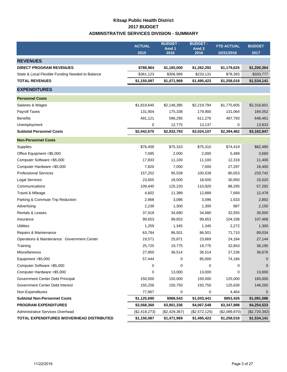## **Kitsap Public Health District 2017 BUDGET ADMINSTRATIVE SERVICES DIVISION - SUMMARY**

|                                                  | <b>ACTUAL</b> | <b>BUDGET -</b><br>Amd 1 | <b>BUDGET-</b><br>Amd <sub>2</sub> | <b>YTD ACTUAL</b> | <b>BUDGET</b> |
|--------------------------------------------------|---------------|--------------------------|------------------------------------|-------------------|---------------|
|                                                  | 2015          | 2016                     | 2016                               | 10/31/2016        | 2017          |
| <b>REVENUES</b>                                  |               |                          |                                    |                   |               |
| <b>DIRECT PROGRAM REVENUES</b>                   | \$788,964     | \$1,165,000              | \$1,262,292                        | \$1,179,625       | \$1,200,364   |
| State & Local Flexible Funding Needed to Balance | \$361,123     | \$306,969                | \$233,131                          | \$78,393          | \$333,777     |
| <b>TOTAL REVENUES</b>                            | \$1,150,087   | \$1,471,969              | \$1,495,423                        | \$1,258,018       | \$1,534,141   |
| <b>EXPENDITURES</b>                              |               |                          |                                    |                   |               |
| <b>Personnel Costs</b>                           |               |                          |                                    |                   |               |
| Salaries & Wages                                 | \$1,819,645   | \$2,148,385              | \$2,219,794                        | \$1,775,605       | \$2,316,601   |
| Payroll Taxes                                    | 131,904       | 175,338                  | 179,900                            | 131,064           | 184,052       |
| <b>Benefits</b>                                  | 491,121       | 596,295                  | 611,276                            | 487,793           | 648,461       |
| Unemployment                                     | 0             | 12,775                   | 13,137                             | 0                 | 13,833        |
| <b>Subtotal Personnel Costs</b>                  | \$2,442,670   | \$2,932,793              | \$3,024,107                        | \$2,394,462       | \$3,162,947   |
| <b>Non-Personnel Costs</b>                       |               |                          |                                    |                   |               |
| Supplies                                         | \$76,459      | \$75,310                 | \$75,310                           | \$74,419          | \$82,485      |
| Office Equipment <\$5,000                        | 7,095         | 2,000                    | 2,000                              | 5,489             | 3,660         |
| Computer Software <\$5,000                       | 17,833        | 11,100                   | 11,100                             | 12,318            | 11,400        |
| Computer Hardware <\$5,000                       | 7,820         | 7,000                    | 7,000                              | 27,297            | 18,400        |
| <b>Professional Services</b>                     | 157,252       | 95,539                   | 100,539                            | 80,053            | 233,742       |
| <b>Legal Services</b>                            | 23,655        | 18,500                   | 18,500                             | 30,950            | 15,020        |
| Communications                                   | 109,440       | 125,220                  | 110,820                            | 88,295            | 57,292        |
| Travel & Mileage                                 | 4,602         | 11,389                   | 12,889                             | 7,669             | 12,478        |
| Parking & Commute Trip Reduction                 | 2,968         | 3,096                    | 3,096                              | 1,633             | 2,892         |
| Advertising                                      | 2,239         | 1,300                    | 1,300                              | 887               | 2,150         |
| Rentals & Leases                                 | 37,918        | 34,680                   | 34,680                             | 32,555            | 30,000        |
| Insurance                                        | 99,653        | 99,653                   | 99,653                             | 104,338           | 107,468       |
| <b>Utilities</b>                                 | 1,259         | 1,345                    | 1,345                              | 2,272             | 1,300         |
| Repairs & Maintenance                            | 63,784        | 86,501                   | 86,501                             | 71,710            | 89,034        |
| Operations & Maintenance: Government Center      | 19,571        | 25,871                   | 23,669                             | 24,184            | 27,144        |
| Training                                         | 25,725        | 19,775                   | 19,775                             | 32,843            | 36,195        |
| Miscellaneous                                    | 27,850        | 36,514                   | 36,514                             | 27,236            | 36,676        |
| Equipment $>$ \$5,000                            | 57,444        | 0                        | 85,000                             | 74,184            | 0             |
| Computer Software > \$5,000                      | 0             | 0                        | 0                                  | 0                 | 0             |
| Computer Hardware > \$5,000                      | 0             | 13,000                   | 13,000                             | 0                 | 13,000        |
| Government Center Debt Principal                 | 150,000       | 150,000                  | 150,000                            | 125,000           | 165,000       |
| Government Center Debt Interest                  | 155,256       | 150,750                  | 150,750                            | 125,630           | 146,250       |
| Non-Expenditures                                 | 77,867        | 0                        | 0                                  | 4,464             | $\mathbf 0$   |
| <b>Subtotal Non-Personnel Costs</b>              | \$1,125,690   | \$968,543                | \$1,043,441                        | \$953,426         | \$1,091,586   |
| <b>PROGRAM EXPENDITURES</b>                      | \$3,568,360   | \$3,901,336              | \$4,067,548                        | \$3,347,888       | \$4,254,533   |
| Administrative Services Overhead                 | (\$2,418,273) | (\$2,429,367)            | (\$2,572,125)                      | (\$2,089,870)     | (\$2,720,392) |
| TOTAL EXPENDITURES W/OVERHEAD DISTRIBUTED        | \$1,150,087   | \$1,471,969              | \$1,495,423                        | \$1,258,018       | \$1,534,141   |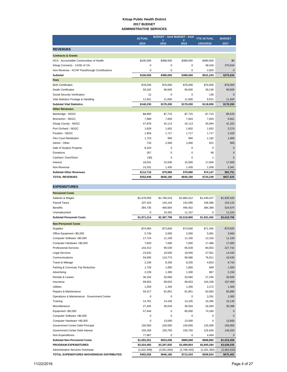#### **Kitsap Public Health District 2017 BUDGET ADMINISTRATIVE SERVICES**

|                                              | <b>ACTUAL</b> | <b>BUDGET - Amd BUDGET - Amd</b><br>$\overline{1}$ | <b>YTD ACTUAL</b>      | <b>BUDGET</b> |              |
|----------------------------------------------|---------------|----------------------------------------------------|------------------------|---------------|--------------|
|                                              | 2015          | 2016                                               | $\overline{a}$<br>2016 | 10/31/2016    | 2017         |
| <b>REVENUES</b>                              |               |                                                    |                        |               |              |
| <b>Contracts &amp; Grants</b>                |               |                                                    |                        |               |              |
| HCA - Accountable Communities of Health      | \$100,000     | \$388,000                                          | \$388,000              | \$480,000     | \$0          |
| Kitsap Connects - 1/10th of 1%               | 0             | 0                                                  | 0                      | 48,418        | 375,634      |
| Non-Revenue - KCHP Passthrough Contributions | 0             | 0                                                  | 0                      | 2,825         | $\mathbf{0}$ |
| Subtotal                                     | \$100,000     | \$388,000                                          | \$388,000              | \$531,243     | \$375,634    |
| <b>Fees</b>                                  |               |                                                    |                        |               |              |
| <b>Birth Certificates</b>                    | \$78,035      | \$76,000                                           | \$76,000               | \$70,056      | \$76,000     |
| <b>Death Certificates</b>                    | 50,242        | 90,600                                             | 90,600                 | 39,136        | 90,600       |
| Social Security Verification                 | 12            | 0                                                  | 0                      | 136           | $\mathbf 0$  |
| Vital Statistics Postage & Handling          | 11,941        | 11,600                                             | 11,600                 | 9,531         | 11,600       |
| <b>Subtotal Vital Statistics</b>             | \$140,230     | \$178,200                                          | \$178,200              | \$118,859     | \$178,200    |
| <b>Other Revenues</b>                        |               |                                                    |                        |               |              |
| Bainbridge - NDGC                            | \$8,800       | \$7,715                                            | \$7,715                | \$7,715       | \$5,633      |
| Bremerton - NDGC                             | 7,988         | 7,003                                              | 7,003                  | 7,003         | 9,601        |
| Kitsap County - NDGC                         | 47,878        | 42,113                                             | 42.113                 | 35,094        | 41,322       |
| Port Orchard - NDGC                          | 1,828         | 1,602                                              | 1,602                  | 1,602         | 3,274        |
| Poulsbo - NDGC                               | 1,959         | 1,717                                              | 1,717                  | 1,717         | 2,420        |
| <b>Flex Court Restitution</b>                | 1,723         | 900                                                | 900                    | 1,182         | 1,600        |
| Admin - Other                                | 733           | 2,000                                              | 2,000                  | 821           | 900          |
| Sale of Surplus Property                     | 8,220         | 0                                                  | 0                      | 0             | $\mathbf{0}$ |
| Donations                                    | 267           | 0                                                  | 0                      | 68            | $\Omega$     |
| Cashiers' Over/Short                         | (40)          | 0                                                  | 0                      | 1             | $\mathbf 0$  |
| Interest                                     | 18,031        | 15,500                                             | 15,500                 | 17,006        | 17,000       |
| Non-Revenue                                  | 15,331        | 1,430                                              | 1,430                  | 1,938         | 2,041        |
| <b>Subtotal Other Revenues</b>               | \$112,718     | \$79,980                                           | \$79,980               | \$74,147      | \$83,791     |
| <b>TOTAL REVENUES</b>                        | \$352,948     | \$646,180                                          | \$646,180              | \$724,249     | \$637,625    |

| <b>EXPENDITURES</b>                         |             |             |             |               |              |
|---------------------------------------------|-------------|-------------|-------------|---------------|--------------|
| <b>Personnel Costs</b>                      |             |             |             |               |              |
| Salaries & Wages                            | \$1,479,056 | \$1,766,519 | \$1,860,312 | \$1,440,427   | \$1,929,426  |
| Payroll Taxes                               | 107,423     | 144,104     | 152,085     | 106,586       | 153,142      |
| <b>Benefits</b>                             | 384,735     | 466,684     | 495,402     | 384,389       | 524,674      |
| Unemployment                                | 0           | 10,492      | 11,107      | 0             | 11,524       |
| <b>Subtotal Personnel Costs</b>             | \$1,971,214 | \$2,387,799 | \$2,518,906 | \$1,931,402   | \$2,618,766  |
| <b>Non-Personnel Costs</b>                  |             |             |             |               |              |
| Supplies                                    | \$74,664    | \$73,840    | \$73,840    | \$71,445      | \$79,825     |
| Office Equipment <\$5,000                   | 5,736       | 2,000       | 2,000       | 5,081         | 3,660        |
| Computer Software <\$5,000                  | 17,724      | 11,100      | 11,100      | 12,318        | 11,100       |
| Computer Hardware <\$5,000                  | 7,820       | 7,000       | 7,000       | 17,488        | 17,000       |
| <b>Professional Services</b>                | 143,413     | 95,539      | 95,539      | 80,053        | 227,742      |
| <b>Legal Services</b>                       | 23,632      | 18,500      | 18,500      | 27,501        | 14,420       |
| Communications                              | 94,935      | 110,774     | 96,686      | 76,911        | 42,635       |
| Travel & Mileage                            | 2,196       | 8,335       | 8,335       | 4,853         | 9,743        |
| Parking & Commute Trip Reduction            | 1,726       | 1,850       | 1,850       | 689           | 1,500        |
| Advertising                                 | 2,239       | 1,300       | 1,300       | 887           | 2,150        |
| Rentals & Leases                            | 36,164      | 33,060      | 33,060      | 27,249        | 30,000       |
| Insurance                                   | 99,653      | 99,653      | 99,653      | 104,338       | 107,468      |
| Utilities                                   | 1,259       | 1,345       | 1,345       | 2,272         | 1,300        |
| Repairs & Maintenance                       | 59,317      | 81,851      | 81,851      | 62,683        | 85,880       |
| Operations & Maintenance: Government Center | 0           | $\mathbf 0$ | 0           | 3,291         | 1,065        |
| Training                                    | 14.761      | 14.105      | 14.105      | 16.285        | 23,145       |
| Miscellaneous                               | 27,445      | 36,034      | 36,034      | 26,260        | 36,386       |
| Equipment >\$5,000                          | 57,444      | $\mathbf 0$ | 85,000      | 74,184        | $\mathbf{0}$ |
| Computer Software >\$5,000                  | 0           | $\mathbf 0$ | 0           | 0             | $\Omega$     |
| Computer Hardware >\$5,000                  | 0           | 13,000      | 13,000      | 0             | 13,000       |
| Government Center Debt Principal            | 150.000     | 150,000     | 150,000     | 125.000       | 165,000      |
| Government Center Debt Interest             | 155,256     | 150,750     | 150,750     | 125,630       | 146,250      |
| Non-Expenditures                            | 77,867      | 0           | 0           | 4,464         | $\Omega$     |
| <b>Subtotal Non-Personnel Costs</b>         | \$1,053,251 | \$910,036   | \$980,948   | \$868,882     | \$1,019,269  |
| <b>PROGRAM EXPENDITURES</b>                 | \$3,024,465 | \$3,297,835 | \$3,499,854 | \$2,800,284   | \$3,638,035  |
| Administrative Services Overhead            | (2,622,409) | (2,651,655) | (2,786,420) | (2, 291, 360) | (2,962,633)  |
| TOTAL EXPENDITURES W/OVERHEAD DISTRIBUTED   | \$402,056   | \$646,180   | \$713,434   | \$508,924     | \$675,402    |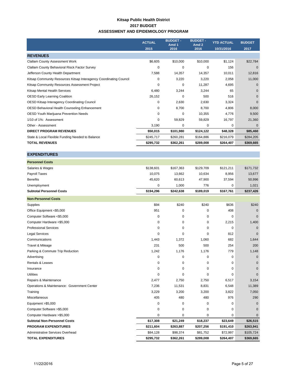#### **Kitsap Public Health District 2017 BUDGET ASSESSMENT AND EPIDEMIOLOGY PROGRAM**

|                                                                    | <b>ACTUAL</b> | <b>BUDGET -</b><br>Amd 1 | <b>BUDGET -</b><br>Amd <sub>2</sub> | <b>YTD ACTUAL</b> | <b>BUDGET</b> |
|--------------------------------------------------------------------|---------------|--------------------------|-------------------------------------|-------------------|---------------|
|                                                                    | 2015          | 2016                     | 2016                                | 10/31/2016        | 2017          |
| <b>REVENUES</b>                                                    |               |                          |                                     |                   |               |
| <b>Clallam County Assessment Work</b>                              | \$6,605       | \$10,000                 | \$10,000                            | \$1,124           | \$22,784      |
| Clallam County Behavioral Risck Factor Survey                      | 0             | 0                        | 0                                   | 156               | $\Omega$      |
| Jefferson County Health Department                                 | 7,588         | 14,357                   | 14,357                              | 10,011            | 12,816        |
| Kitsap Community Resources Kitsap Interagency Coordinating Council | 0             | 3,220                    | 3,220                               | 2,058             | 11,000        |
| Kitsap Community Resources Assessment Project                      | 0             | 0                        | 11,287                              | 4,695             | $\Omega$      |
| Kitsap Mental Health Services                                      | 6,480         | 3,244                    | 3,244                               | 65                | $\Omega$      |
| <b>OESD Early Learning Coalition</b>                               | 26,152        | 0                        | 500                                 | 516               | $\Omega$      |
| OESD Kitsap Interagency Coordinating Council                       | 0             | 2,630                    | 2,630                               | 3,324             | $\Omega$      |
| OESD Behavioral Health Counseling Enhancement                      | 0             | 8,700                    | 8,700                               | 4,806             | 8,000         |
| <b>OESD Youth Marijuana Prevention Needs</b>                       | 0             | 0                        | 10,355                              | 4,776             | 9,500         |
| 1/10 of 1%: Assessment                                             | 0             | 59,829                   | 59,829                              | 16,797            | 21,360        |
| Other - Assessment                                                 | 3,190         | 0                        | 0                                   | 0                 | $\Omega$      |
| <b>DIRECT PROGRAM REVENUES</b>                                     | \$50,015      | \$101,980                | \$124,122                           | \$48,328          | \$85,460      |
| State & Local Flexible Funding Needed to Balance                   | \$245,717     | \$260,281                | \$164,886                           | \$216,079         | \$284,205     |
| <b>TOTAL REVENUES</b>                                              | \$295,732     | \$362,261                | \$289,008                           | \$264,407         | \$369,665     |

| March Bangarow of October       |           |           |           |           |           |
|---------------------------------|-----------|-----------|-----------|-----------|-----------|
| <b>Subtotal Personnel Costs</b> | \$194.296 | \$242.638 | \$189,019 | \$167,761 | \$237,426 |
| Unemployment                    | 0         | 1.000     | 776       | 0         | 1,021     |
| <b>Benefits</b>                 | 45,620    | 60,613    | 47,900    | 37,594    | 50,996    |
| <b>Payroll Taxes</b>            | 10,075    | 13,662    | 10,634    | 8,956     | 13,677    |
| Salaries & Wages                | \$138,601 | \$167,363 | \$129,709 | \$121,211 | \$171,732 |
| <b>Personnel Costs</b>          |           |           |           |           |           |
|                                 |           |           |           |           |           |

| <b>NUIL-LEI 2011IEI CO212</b>               |             |           |           |           |             |
|---------------------------------------------|-------------|-----------|-----------|-----------|-------------|
| Supplies                                    | \$94        | \$240     | \$240     | \$636     | \$240       |
| Office Equipment <\$5,000                   | 951         | 0         | 0         | 408       | $\Omega$    |
| Computer Software <\$5,000                  | 0           | 0         | 0         | 0         | $\Omega$    |
| Computer Hardware <\$5,000                  | $\mathbf 0$ | 0         | 0         | 2,215     | 1,400       |
| <b>Professional Services</b>                | $\mathbf 0$ | 0         | 0         | 0         | $\Omega$    |
| <b>Legal Services</b>                       | $\mathbf 0$ | 0         | 0         | 812       | $\Omega$    |
| Communications                              | 1,443       | 1,372     | 1,060     | 682       | 1,644       |
| Travel & Mileage                            | 231         | 500       | 500       | 254       | 200         |
| Parking & Commute Trip Reduction            | 1,242       | 1,176     | 1,176     | 779       | 1,148       |
| Advertising                                 | 0           | 0         | 0         | 0         | $\mathbf 0$ |
| <b>Rentals &amp; Leases</b>                 | 0           | 0         | 0         | 0         | $\Omega$    |
| Insurance                                   | 0           | 0         | 0         | 0         | $\Omega$    |
| <b>Utilities</b>                            | $\mathbf 0$ | 0         | $\Omega$  | 0         | $\Omega$    |
| Repairs & Maintenance                       | 2,477       | 2,750     | 2,750     | 6,517     | 3,154       |
| Operations & Maintenance: Government Center | 7,236       | 11,531    | 8,831     | 6,548     | 11,389      |
| Training                                    | 3,229       | 3,200     | 3,200     | 3,822     | 7,050       |
| Miscellaneous                               | 405         | 480       | 480       | 976       | 290         |
| Equipment > \$5,000                         | $\mathbf 0$ | 0         | 0         | 0         | $\Omega$    |
| Computer Software >\$5,000                  | $\mathbf 0$ | 0         | 0         | 0         | $\Omega$    |
| Computer Hardware > \$5,000                 | $\mathbf 0$ | 0         | 0         | 0         | $\Omega$    |
| <b>Subtotal Non-Personnel Costs</b>         | \$17,308    | \$21,249  | \$18,237  | \$23,649  | \$26,515    |
| <b>PROGRAM EXPENDITURES</b>                 | \$211,604   | \$263,887 | \$207,256 | \$191,410 | \$263,941   |
| Administrative Services Overhead            | \$84,128    | \$98,374  | \$81,752  | \$72,997  | \$105,724   |
| <b>TOTAL EXPENDITURES</b>                   | \$295,732   | \$362,261 | \$289,008 | \$264,407 | \$369,665   |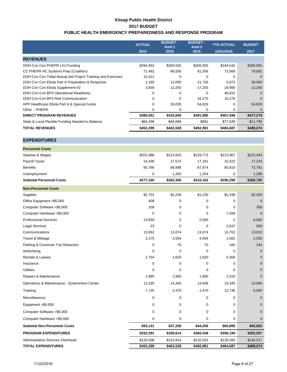### **Kitsap Public Health District 2017 BUDGET PUBLIC HEALTH EMERGENCY PREPAREDNESS AND RESPONSE PROGRAM**

|                                                              | <b>ACTUAL</b> | <b>BUDGET -</b><br>Amd 1 | <b>BUDGET -</b><br>Amd 2 | <b>YTD ACTUAL</b> | <b>BUDGET</b> |
|--------------------------------------------------------------|---------------|--------------------------|--------------------------|-------------------|---------------|
|                                                              | 2015          | 2016                     | 2016                     | 10/31/2016        | 2017          |
| <b>REVENUES</b>                                              |               |                          |                          |                   |               |
| DOH Con Con PHEPR LHJ Funding                                | \$294,353     | \$300,555                | \$300,555                | \$244,542         | \$300,555     |
| CC PHEPR HC Systems Prep (Coalition)                         | 71,482        | 66,000                   | 81,356                   | 73,568            | 79,691        |
| DOH Con Con Tribal Mutual Aid Project Training and Exercises | 15,312        | $\Omega$                 | 0                        | 0                 | $\Omega$      |
| DOH Con Con Ebola Part A Preparation & Response              | 1.195         | 12,000                   | 21,726                   | 5,873             | 30,000        |
| DOH Con Con Ebola Supplement #2                              | 3,659         | 12,250                   | 17,250                   | 19,980            | 12,200        |
| DOH Con Con BP4 Operational Readiness                        | 0             | $\Omega$                 | 0                        | 46,815            | $\Omega$      |
| DOH Con Con BP4 Risk Communication                           | $\mathbf 0$   | $\Omega$                 | 16,270                   | 16,270            | $\Omega$      |
| HPP Healthcare Ebola Part A & Special Funds                  | 0             | 26,035                   | 54,833                   | 0                 | 54,833        |
| Other - PHEPR                                                | 0             | $\Omega$                 | 0                        | $\Omega$          | $\Omega$      |
| <b>DIRECT PROGRAM REVENUES</b>                               | \$386,001     | \$416,840                | \$491,990                | \$407,048         | \$477,279     |
| State & Local Flexible Funding Needed to Balance             | \$66,298      | \$46,688                 | \$991                    | \$77,639          | \$11,795      |
| <b>TOTAL REVENUES</b>                                        | \$452,299     | \$463,528                | \$492,981                | \$484,687         | \$489,074     |

| <b>Personnel Costs</b>                      |           |             |             |           |              |
|---------------------------------------------|-----------|-------------|-------------|-----------|--------------|
| Salaries & Wages                            | \$201,988 | \$214,503   | \$229,773   | \$213,967 | \$215,443    |
| Payroll Taxes                               | 14,406    | 17,572      | 17,181      | 15,522    | 17,233       |
| <b>Benefits</b>                             | 60,766    | 68,998      | 67,974      | 65,810    | 72,791       |
| Unemployment                                | 0         | 1,283       | 1,254       | 0         | 1,288        |
| <b>Subtotal Personnel Costs</b>             | \$277,160 | \$302,356   | \$316,182   | \$295,299 | \$306,755    |
| <b>Non-Personnel Costs</b>                  |           |             |             |           |              |
| Supplies                                    | \$1,701   | \$1,230     | \$1,230     | \$2,338   | \$2,420      |
| Office Equipment <\$5,000                   | 408       | $\mathbf 0$ | 0           | 0         | $\mathbf 0$  |
| Computer Software <\$5,000                  | 109       | $\mathbf 0$ | 0           | 0         | 300          |
| Computer Hardware <\$5,000                  | 0         | $\Omega$    | 0           | 7,594     | $\Omega$     |
| <b>Professional Services</b>                | 13,839    | $\mathbf 0$ | 5,000       | 0         | 6,000        |
| <b>Legal Services</b>                       | 23        | $\mathbf 0$ | 0           | 2,637     | 600          |
| Communications                              | 13,062    | 13,074      | 13,074      | 10,702    | 13,013       |
| Travel & Mileage                            | 2,175     | 2,554       | 4,054       | 2,562     | 2,535        |
| Parking & Commute Trip Reduction            | 0         | 70          | 70          | 165       | 244          |
| Advertising                                 | 0         | $\mathbf 0$ | $\mathbf 0$ | 0         | $\Omega$     |
| <b>Rentals &amp; Leases</b>                 | 1,754     | 1,620       | 1,620       | 5,306     | $\Omega$     |
| Insurance                                   | 0         | $\mathbf 0$ | 0           | 0         | $\mathbf{0}$ |
| <b>Utilities</b>                            | 0         | $\mathbf 0$ | 0           | 0         | $\Omega$     |
| Repairs & Maintenance                       | 1,990     | 1,900       | 1,900       | 2,510     | $\Omega$     |
| Operations & Maintenance: Government Center | 12,335    | 14,340      | 14,838      | 14,345    | 14,690       |
| Training                                    | 7,735     | 2,470       | 2,470       | 12,736    | 6,000        |
| Miscellaneous                               | 0         | $\mathbf 0$ | 0           | 0         | $\mathbf{0}$ |
| Equipment > \$5,000                         | 0         | $\mathbf 0$ | $\mathbf 0$ | 0         | $\mathbf{0}$ |
| Computer Software > \$5,000                 | 0         | $\mathbf 0$ | 0           | 0         | $\mathbf{0}$ |
| Computer Hardware > \$5,000                 | 0         | 0           | 0           | 0         | $\mathbf{0}$ |
| <b>Subtotal Non-Personnel Costs</b>         | \$55,131  | \$37,258    | \$44,256    | \$60,895  | \$45,802     |
| <b>PROGRAM EXPENDITURES</b>                 | \$332,291 | \$339,614   | \$360,438   | \$356,194 | \$352,557    |
| Administrative Services Overhead            | \$120,008 | \$123,914   | \$132,543   | \$128,493 | \$136,517    |
| <b>TOTAL EXPENDITURES</b>                   | \$452,299 | \$463,528   | \$492,981   | \$484,687 | \$489,074    |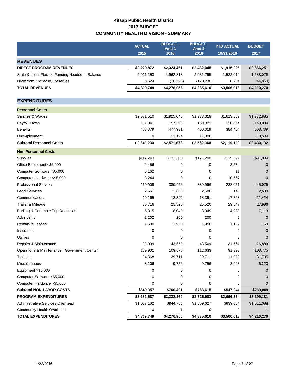## **Kitsap Public Health District 2017 BUDGET COMMUNITY HEALTH DIVISION - SUMMARY**

|                                                  | <b>ACTUAL</b> | <b>BUDGET -</b><br>Amd 1 | <b>BUDGET-</b><br>Amd <sub>2</sub> | <b>YTD ACTUAL</b> | <b>BUDGET</b> |
|--------------------------------------------------|---------------|--------------------------|------------------------------------|-------------------|---------------|
|                                                  | 2015          | 2016                     | 2016                               | 10/31/2016        | 2017          |
| <b>REVENUES</b>                                  |               |                          |                                    |                   |               |
| <b>DIRECT PROGRAM REVENUES</b>                   | \$2,229,872   | \$2,324,461              | \$2,432,045                        | \$1,915,295       | \$2,666,251   |
| State & Local Flexible Funding Needed to Balance | 2,011,253     | 1,962,818                | 2,031,795                          | 1,582,019         | 1,588,079     |
| Draw from (Increase) Reserves                    | 68,624        | (10, 323)                | (128, 230)                         | 8,704             | (44,060)      |
| <b>TOTAL REVENUES</b>                            | \$4,309,749   | \$4,276,956              | \$4,335,610                        | \$3,506,018       | \$4,210,270   |
|                                                  |               |                          |                                    |                   |               |
| <b>EXPENDITURES</b>                              |               |                          |                                    |                   |               |
| <b>Personnel Costs</b>                           |               |                          |                                    |                   |               |
| Salaries & Wages                                 | \$2,031,510   | \$1,925,045              | \$1,933,318                        | \$1,613,882       | \$1,772,885   |
| Payroll Taxes                                    | 151,841       | 157,508                  | 158,023                            | 120,834           | 143,034       |
| <b>Benefits</b>                                  | 458,879       | 477,931                  | 460,019                            | 384,404           | 503,709       |
| Unemployment                                     | 0             | 11,194                   | 11,008                             | 0                 | 10,504        |
| <b>Subtotal Personnel Costs</b>                  | \$2,642,230   | \$2,571,678              | \$2,562,368                        | \$2,119,120       | \$2,430,132   |
| <b>Non-Personnel Costs</b>                       |               |                          |                                    |                   |               |
| Supplies                                         | \$147,243     | \$121,200                | \$121,200                          | \$115,399         | \$91,004      |
| Office Equipment <\$5,000                        | 2,456         | 0                        | 0                                  | 2,534             | 0             |
| Computer Software <\$5,000                       | 5,162         | 0                        | 0                                  | 11                | $\Omega$      |
| Computer Hardware <\$5,000                       | 8,244         | $\mathbf 0$              | 0                                  | 10,567            | $\Omega$      |
| <b>Professional Services</b>                     | 239,909       | 389,956                  | 389,956                            | 228,051           | 445,079       |
| <b>Legal Services</b>                            | 2,661         | 2,680                    | 2,680                              | 148               | 2,680         |
| Communications                                   | 19,165        | 18,322                   | 18,391                             | 17,368            | 21,424        |
| Travel & Mileage                                 | 26,716        | 25,520                   | 25,520                             | 29,547            | 27,986        |
| Parking & Commute Trip Reduction                 | 5,315         | 8,049                    | 8,049                              | 4,988             | 7,113         |
| Advertising                                      | 2,202         | 200                      | 200                                | 0                 | $\mathbf{0}$  |
| <b>Rentals &amp; Leases</b>                      | 1,680         | 1,950                    | 1,950                              | 1,167             | 150           |
| Insurance                                        | 0             | 0                        | 0                                  | 0                 | $\Omega$      |
| <b>Utilities</b>                                 | 0             | 0                        | 0                                  | 0                 | $\Omega$      |
| Repairs & Maintenance                            | 32,099        | 43,569                   | 43,569                             | 31,661            | 26,883        |
| Operations & Maintenance: Government Center      | 109,931       | 109,578                  | 112,633                            | 91,397            | 108,775       |
| Training                                         | 34,368        | 29,711                   | 29,711                             | 11,983            | 31,735        |
| Miscellaneous                                    | 3,206         | 9,756                    | 9,756                              | 2,423             | 6,220         |
| Equipment > \$5,000                              | 0             | 0                        | 0                                  | 0                 | 0             |
| Computer Software > \$5,000                      | 0             | 0                        | 0                                  | 0                 |               |
| Computer Hardware > \$5,000                      | 0             | 0                        | 0                                  | 0                 |               |
| <b>Subtotal NON-LABOR COSTS</b>                  | \$640,357     | \$760,491                | \$763,615                          | \$547,244         | \$769,049     |
| <b>PROGRAM EXPENDITURES</b>                      | \$3,282,587   | \$3,332,169              | \$3,325,983                        | \$2,666,364       | \$3,199,181   |
| Administrative Services Overhead                 | \$1,027,162   | \$944,786                | \$1,009,627                        | \$839,654         | \$1,011,088   |
| Community Health Overhead                        | 0             | 1                        | 0                                  | 0                 | $\mathbf{1}$  |
| <b>TOTAL EXPENDITURES</b>                        | \$4,309,749   | \$4,276,956              | \$4,335,610                        | \$3,506,018       | \$4,210,270   |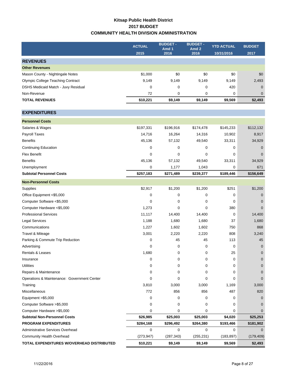### **Kitsap Public Health District 2017 BUDGET COMMUNITY HEALTH DIVISION ADMINISTRATION**

|                                                                    | <b>ACTUAL</b><br>2015    | <b>BUDGET-</b><br>Amd 1<br>2016 | <b>BUDGET-</b><br>Amd <sub>2</sub><br>2016 | <b>YTD ACTUAL</b><br>10/31/2016 | <b>BUDGET</b><br>2017 |
|--------------------------------------------------------------------|--------------------------|---------------------------------|--------------------------------------------|---------------------------------|-----------------------|
| <b>REVENUES</b>                                                    |                          |                                 |                                            |                                 |                       |
| <b>Other Revenues</b>                                              |                          |                                 |                                            |                                 |                       |
| Mason County - Nightingale Notes                                   | \$1,000                  | \$0                             | \$0                                        | \$0                             | \$0                   |
| <b>Olympic College Teaching Contract</b>                           | 9,149                    | 9,149                           | 9,149                                      | 9,149                           | 2,493                 |
| DSHS Medicaid Match - Juvy Residual                                | 0                        | 0                               | 0                                          | 420                             | $\mathbf 0$           |
| Non-Revenue                                                        | 72                       | 0                               | 0                                          | 0                               | $\mathbf 0$           |
| <b>TOTAL REVENUES</b>                                              | \$10,221                 | \$9,149                         | \$9,149                                    | \$9,569                         | \$2,493               |
|                                                                    |                          |                                 |                                            |                                 |                       |
| <b>EXPENDITURES</b>                                                |                          |                                 |                                            |                                 |                       |
| <b>Personnel Costs</b>                                             |                          |                                 |                                            |                                 |                       |
| Salaries & Wages                                                   | \$197,331                | \$196,916                       | \$174,478                                  | \$145,233                       | \$112,132             |
| Payroll Taxes                                                      | 14,716                   | 16,264                          | 14,316                                     | 10,902                          | 8,917                 |
| <b>Benefits</b>                                                    | 45,136                   | 57,132                          | 49,540                                     | 33,311                          | 34,929                |
| <b>Continuing Education</b>                                        | 0                        | 0                               | 0                                          | 0                               | 0                     |
| <b>Flex Benefit</b>                                                | 0                        | 0                               | 0                                          | 0                               | $\mathbf{0}$          |
| <b>Benefits</b>                                                    | 45,136                   | 57,132                          | 49,540                                     | 33,311                          | 34,929                |
| Unemployment                                                       | 0                        | 1,177                           | 1,043                                      | 0                               | 671                   |
| <b>Subtotal Personnel Costs</b>                                    | \$257,183                | \$271,489                       | \$239,377                                  | \$189,446                       | \$156,649             |
| <b>Non-Personnel Costs</b>                                         |                          |                                 |                                            |                                 |                       |
| Supplies                                                           | \$2,917                  | \$1,200                         | \$1,200                                    | \$251                           | \$1,200               |
| Office Equipment <\$5,000                                          | 0                        | 0                               | 0                                          | 0                               | $\mathbf 0$           |
| Computer Software <\$5,000                                         | 0                        | 0                               | 0                                          | 0                               | $\mathbf 0$           |
| Computer Hardware <\$5,000                                         | 1,273                    | 0                               | 0                                          | 380                             | $\mathbf{0}$          |
| <b>Professional Services</b>                                       | 11,117                   | 14,400                          | 14,400                                     | 0                               | 14,400                |
| <b>Legal Services</b>                                              | 1,188                    | 1,680                           | 1,680                                      | 37                              | 1,680                 |
| Communications                                                     | 1,227                    | 1,602                           | 1,602                                      | 750                             | 868                   |
| Travel & Mileage                                                   | 3,001                    | 2,220                           | 2,220                                      | 808                             | 3,240                 |
| Parking & Commute Trip Reduction                                   | 0                        | 45                              | 45                                         | 113                             | 45                    |
| Advertising                                                        | 0                        | 0                               | 0                                          | 0                               | $\mathbf 0$           |
| Rentals & Leases                                                   | 1,680                    | 0                               | 0                                          | 25                              | $\mathbf 0$           |
| Insurance                                                          | 0                        | 0                               | 0                                          | 0                               | 0                     |
| <b>Utilities</b>                                                   | 0                        | 0                               | 0                                          | 0                               | $\mathbf{0}$          |
| Repairs & Maintenance                                              | 0                        | 0                               | 0                                          | 0                               | $\mathbf{0}$          |
| Operations & Maintenance: Government Center                        | 0                        | 0                               | 0                                          | 0                               | $\Omega$              |
| Training                                                           | 3,810                    | 3,000                           | 3,000                                      | 1,169                           | 3,000                 |
| Miscellaneous                                                      | 772                      | 856                             | 856                                        | 487                             | 820                   |
| Equipment >\$5,000                                                 | 0                        | 0                               | 0                                          | 0                               | $\mathbf{0}$          |
| Computer Software > \$5,000                                        | 0                        | 0                               | 0                                          | 0                               | 0                     |
| Computer Hardware > \$5,000                                        | 0                        | 0                               | 0                                          | 0                               | 0                     |
| <b>Subtotal Non-Personnel Costs</b><br><b>PROGRAM EXPENDITURES</b> | \$26,985                 | \$25,003                        | \$25,003                                   | \$4,020                         | \$25,253              |
| Administrative Services Overhead                                   | \$284,168<br>$\mathbf 0$ | \$296,492<br>0                  | \$264,380<br>$\mathbf 0$                   | \$193,466<br>0                  | \$181,902<br>0        |
| <b>Community Health Overhead</b>                                   | (273, 947)               | (287, 343)                      | (255, 231)                                 | (183, 897)                      | (179, 409)            |
|                                                                    |                          |                                 |                                            |                                 |                       |
| TOTAL EXPENDITURES W/OVERHEAD DISTRIBUTED                          | \$10,221                 | \$9,149                         | \$9,149                                    | \$9,569                         | \$2,493               |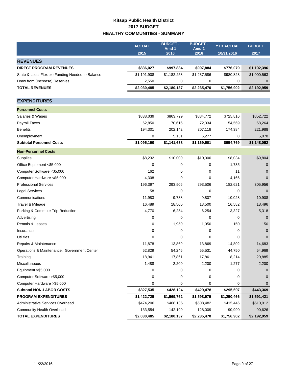## **Kitsap Public Health District 2017 BUDGET HEALTHY COMMUNITIES - SUMMARY**

|                                                  | <b>ACTUAL</b> | <b>BUDGET -</b> | <b>BUDGET -</b><br>Amd <sub>2</sub> | <b>YTD ACTUAL</b> | <b>BUDGET</b> |
|--------------------------------------------------|---------------|-----------------|-------------------------------------|-------------------|---------------|
|                                                  | 2015          | Amd 1<br>2016   | 2016                                | 10/31/2016        | 2017          |
| <b>REVENUES</b>                                  |               |                 |                                     |                   |               |
| <b>DIRECT PROGRAM REVENUES</b>                   | \$836,027     | \$997,884       | \$997,884                           | \$776,079         | \$1,192,396   |
| State & Local Flexible Funding Needed to Balance | \$1,191,908   | \$1,182,253     | \$1,237,586                         | \$980,823         | \$1,000,563   |
| Draw from (Increase) Reserves                    | 2,550         | 0               | 0                                   | 0                 | $\mathbf 0$   |
| <b>TOTAL REVENUES</b>                            | \$2,030,485   | \$2,180,137     | \$2,235,470                         | \$1,756,902       | \$2,192,959   |
|                                                  |               |                 |                                     |                   |               |
| <b>EXPENDITURES</b>                              |               |                 |                                     |                   |               |
| <b>Personnel Costs</b>                           |               |                 |                                     |                   |               |
| Salaries & Wages                                 | \$838,039     | \$863,729       | \$884,772                           | \$725,816         | \$852,722     |
| Payroll Taxes                                    | 62,850        | 70,616          | 72,334                              | 54,569            | 68,264        |
| <b>Benefits</b>                                  | 194,301       | 202,142         | 207,118                             | 174,384           | 221,988       |
| Unemployment                                     | 0             | 5,151           | 5,277                               | 0                 | 5,078         |
| <b>Subtotal Personnel Costs</b>                  | \$1,095,190   | \$1,141,638     | \$1,169,501                         | \$954,769         | \$1,148,052   |
| <b>Non-Personnel Costs</b>                       |               |                 |                                     |                   |               |
| Supplies                                         | \$8,232       | \$10,000        | \$10,000                            | \$8,034           | \$9,804       |
| Office Equipment <\$5,000                        | 0             | 0               | 0                                   | 1,735             | 0             |
| Computer Software <\$5,000                       | 162           | 0               | 0                                   | 11                | $\Omega$      |
| Computer Hardware <\$5,000                       | 4,308         | 0               | 0                                   | 4,166             | $\Omega$      |
| <b>Professional Services</b>                     | 196,397       | 293,506         | 293,506                             | 182,621           | 305,956       |
| <b>Legal Services</b>                            | 58            | $\mathbf 0$     | 0                                   | 0                 | $\Omega$      |
| Communications                                   | 11,983        | 9,738           | 9,807                               | 10,028            | 10,908        |
| Travel & Mileage                                 | 16,489        | 18,500          | 18,500                              | 16,582            | 18,496        |
| Parking & Commute Trip Reduction                 | 4,770         | 6,254           | 6,254                               | 3,327             | 5,318         |
| Advertising                                      | 0             | 0               | 0                                   | 0                 | $\mathbf 0$   |
| Rentals & Leases                                 | 0             | 1,950           | 1,950                               | 150               | 150           |
| Insurance                                        | 0             | 0               | 0                                   | 0                 | $\Omega$      |
| <b>Utilities</b>                                 | 0             | 0               | 0                                   | 0                 | $\Omega$      |
| Repairs & Maintenance                            | 11,878        | 13,869          | 13,869                              | 14,802            | 14,683        |
| Operations & Maintenance: Government Center      | 52,829        | 54,246          | 55,531                              | 44,750            | 54,969        |
| Training                                         | 18,941        | 17,861          | 17,861                              | 8,214             | 20,885        |
| Miscellaneous                                    | 1,488         | 2,200           | 2,200                               | 1,277             | 2,200         |
| Equipment >\$5,000                               | 0             | 0               | 0                                   | 0                 | 0             |
| Computer Software > \$5,000                      | 0             | 0               | 0                                   | 0                 | $\Omega$      |
| Computer Hardware > \$5,000                      | 0             | 0               | 0                                   | 0                 | 0             |
| <b>Subtotal NON-LABOR COSTS</b>                  | \$327,535     | \$428,124       | \$429,478                           | \$295,697         | \$443,369     |
| <b>PROGRAM EXPENDITURES</b>                      | \$1,422,725   | \$1,569,762     | \$1,598,979                         | \$1,250,466       | \$1,591,421   |
| Administrative Services Overhead                 | \$474,206     | \$468,185       | \$508,482                           | \$415,446         | \$510,912     |
| <b>Community Health Overhead</b>                 | 133,554       | 142,190         | 128,009                             | 90,990            | 90,626        |
| <b>TOTAL EXPENDITURES</b>                        | \$2,030,485   | \$2,180,137     | \$2,235,470                         | \$1,756,902       | \$2,192,959   |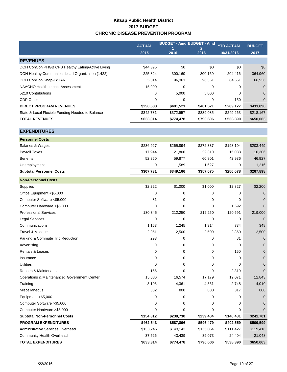### **Kitsap Public Health District 2017 BUDGET CHRONIC DISEASE PREVENTION PROGRAM**

|                                                  | <b>ACTUAL</b> | <b>BUDGET - Amd BUDGET - Amd</b> |                        | <b>YTD ACTUAL</b> | <b>BUDGET</b>  |
|--------------------------------------------------|---------------|----------------------------------|------------------------|-------------------|----------------|
|                                                  | 2015          | И<br>2016                        | $\overline{2}$<br>2016 | 10/31/2016        | 2017           |
|                                                  |               |                                  |                        |                   |                |
| <b>REVENUES</b>                                  |               |                                  |                        |                   |                |
| DOH ConCon PHGB CPB Healthy Eating/Active Living | \$44,395      | \$0                              | \$0                    | \$0               | \$0            |
| DOH Healthy Communities Lead Organization (1422) | 225,824       | 300,160                          | 300,160                | 204,416           | 364,960        |
| DOH ConCon Snap-Ed IAR                           | 5,314         | 96,361                           | 96,361                 | 84,561            | 66,936         |
| NAACHO Health Impact Assessment                  | 15,000        | 0                                | 0                      | 0                 | $\mathbf 0$    |
| 5210 Contributions                               | 0             | 5,000                            | 5,000                  | 0                 | $\Omega$       |
| <b>CDP Other</b>                                 | 0             | 0                                | 0                      | 150               | $\mathbf 0$    |
| <b>DIRECT PROGRAM REVENUES</b>                   | \$290,533     | \$401,521                        | \$401,521              | \$289,127         | \$431,896      |
| State & Local Flexible Funding Needed to Balance | \$342,781     | \$372,957                        | \$389,085              | \$249,263         | \$218,167      |
| <b>TOTAL REVENUES</b>                            | \$633,314     | \$774,478                        | \$790,606              | \$538,390         | \$650,063      |
|                                                  |               |                                  |                        |                   |                |
| <b>EXPENDITURES</b>                              |               |                                  |                        |                   |                |
| <b>Personnel Costs</b>                           |               |                                  |                        |                   |                |
| Salaries & Wages                                 | \$236,927     | \$265,894                        | \$272,337              | \$198,104         | \$203,449      |
| Payroll Taxes                                    | 17,944        | 21,806                           | 22,310                 | 15,038            | 16,306         |
| <b>Benefits</b>                                  | 52,860        | 59,877                           | 60,801                 | 42,936            | 46,927         |
| Unemployment                                     | 0             | 1,589                            | 1,627                  | 0                 | 1,216          |
| <b>Subtotal Personnel Costs</b>                  | \$307,731     | \$349,166                        | \$357,075              | \$256,078         | \$267,898      |
| <b>Non-Personnel Costs</b>                       |               |                                  |                        |                   |                |
| Supplies                                         | \$2,222       | \$1,000                          | \$1,000                | \$2,827           | \$2,200        |
| Office Equipment <\$5,000                        | 0             | 0                                | 0                      | 0                 | $\mathbf 0$    |
| Computer Software <\$5,000                       | 81            | 0                                | 0                      | 0                 | $\mathbf 0$    |
| Computer Hardware <\$5,000                       | 0             | 0                                | 0                      | 1,692             | $\Omega$       |
| <b>Professional Services</b>                     | 130,345       | 212,250                          | 212,250                | 120,691           | 219,000        |
| <b>Legal Services</b>                            | 0             | 0                                | 0                      | 0                 | $\Omega$       |
| Communications                                   | 1,163         | 1,245                            | 1,314                  | 734               | 348            |
| Travel & Mileage                                 | 2,051         | 2,500                            | 2,500                  | 2,360             | 2,500          |
| Parking & Commute Trip Reduction                 | 293           | 0                                | 0                      | 81                | $\mathbf 0$    |
| Advertising                                      | 0             | 0                                | 0                      | 0                 | $\mathbf 0$    |
| Rentals & Leases                                 | 0             | 0                                | 0                      | 150               | $\mathbf 0$    |
| Insurance                                        | 0             | 0                                | 0                      | 0                 | $\mathbf 0$    |
| <b>Utilities</b>                                 | 0             | 0                                | 0                      | 0                 | $\mathbf{0}$   |
| Repairs & Maintenance                            | 166           | 0                                | 0                      | 2,810             | $\overline{0}$ |
| Operations & Maintenance: Government Center      | 15,086        | 16,574                           | 17,179                 | 12,071            | 12,843         |
| Training                                         | 3,103         | 4,361                            | 4,361                  | 2,748             | 4,010          |
| Miscellaneous                                    | 302           | 800                              | 800                    | 317               | 800            |
| Equipment >\$5,000                               | 0             | 0                                | 0                      | 0                 | $\mathbf 0$    |
| Computer Software > \$5,000                      | 0             | 0                                | 0                      | 0                 | $\Omega$       |
| Computer Hardware > \$5,000                      | 0             | 0                                | 0                      | 0                 | $\mathbf{0}$   |
| <b>Subtotal Non-Personnel Costs</b>              | \$154,812     | \$238,730                        | \$239,404              | \$146,481         | \$241,701      |
| <b>PROGRAM EXPENDITURES</b>                      | \$462,543     | \$587,896                        | \$596,479              | \$402,559         | \$509,599      |
| <b>Administrative Services Overhead</b>          | \$133,245     | \$143,143                        | \$155,054              | \$111,427         | \$119,416      |
| Community Health Overhead                        | 37,526        | 43,439                           | 39,073                 | 24,404            | 21,048         |
| <b>TOTAL EXPENDITURES</b>                        | \$633,314     | \$774,478                        | \$790,606              | \$538,390         | \$650,063      |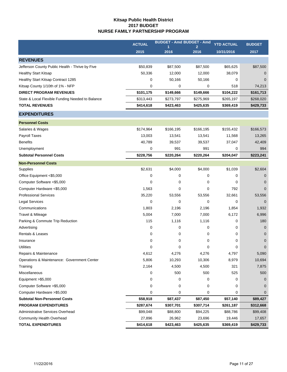### **Kitsap Public Health District 2017 BUDGET NURSE FAMILY PARTNERSHIP PROGRAM**

|                                                  | <b>ACTUAL</b> | <b>BUDGET - Amd BUDGET - Amd</b> | $\overline{2}$ | <b>YTD ACTUAL</b> | <b>BUDGET</b> |
|--------------------------------------------------|---------------|----------------------------------|----------------|-------------------|---------------|
|                                                  | 2015          | 2016                             | 2016           | 10/31/2016        | 2017          |
| <b>REVENUES</b>                                  |               |                                  |                |                   |               |
| Jefferson County Public Health - Thrive by Five  | \$50,839      | \$87,500                         | \$87,500       | \$65,625          | \$87,500      |
| <b>Healthy Start Kitsap</b>                      | 50,336        | 12,000                           | 12,000         | 38,079            | 0             |
| Healthy Start Kitsap Contract 1285               | 0             | 50,166                           | 50,166         | 0                 | $\Omega$      |
| Kitsap County 1/10th of 1% - NFP                 | 0             | 0                                | 0              | 518               | 74,213        |
| <b>DIRECT PROGRAM REVENUES</b>                   | \$101,175     | \$149,666                        | \$149,666      | \$104,222         | \$161,713     |
| State & Local Flexible Funding Needed to Balance | \$313,443     | \$273,797                        | \$275,969      | \$265,197         | \$268,020     |
| <b>TOTAL REVENUES</b>                            | \$414,618     | \$423,463                        | \$425,635      | \$369,419         | \$429,733     |
| <b>EXPENDITURES</b>                              |               |                                  |                |                   |               |
| <b>Personnel Costs</b>                           |               |                                  |                |                   |               |
| Salaries & Wages                                 | \$174,964     | \$166,195                        | \$166,195      | \$155,432         | \$166,573     |
| <b>Payroll Taxes</b>                             | 13,003        | 13,541                           | 13,541         | 11,568            | 13,265        |
| <b>Benefits</b>                                  | 40,789        | 39,537                           | 39,537         | 37,047            | 42,409        |
| Unemployment                                     | 0             | 991                              | 991            | 0                 | 994           |
| <b>Subtotal Personnel Costs</b>                  | \$228,756     | \$220,264                        | \$220,264      | \$204,047         | \$223,241     |
| <b>Non-Personnel Costs</b>                       |               |                                  |                |                   |               |
| Supplies                                         | \$2,631       | \$4,000                          | \$4,000        | \$1,039           | \$2,604       |
| Office Equipment <\$5,000                        | 0             | 0                                | 0              | 0                 | $\mathbf{0}$  |
| Computer Software <\$5,000                       | 0             | 0                                | 0              | 0                 | $\mathbf 0$   |
| Computer Hardware <\$5,000                       | 1,563         | 0                                | 0              | 792               | $\mathbf 0$   |
| <b>Professional Services</b>                     | 35,220        | 53,556                           | 53,556         | 32,661            | 53,556        |
| <b>Legal Services</b>                            | 0             | 0                                | $\mathbf 0$    | $\mathbf 0$       | $\Omega$      |
| Communications                                   | 1,803         | 2,196                            | 2,196          | 1,854             | 1,932         |
| Travel & Mileage                                 | 5,004         | 7,000                            | 7,000          | 6,172             | 6,996         |
| Parking & Commute Trip Reduction                 | 115           | 1,116                            | 1,116          | 0                 | 180           |
| Advertising                                      | 0             | 0                                | 0              | 0                 | $\mathbf{0}$  |
| Rentals & Leases                                 | 0             | 0                                | 0              | 0                 | $\mathbf{0}$  |
| Insurance                                        | 0             | 0                                | 0              | 0                 | $\mathbf 0$   |
| <b>Utilities</b>                                 | 0             | 0                                | 0              | 0                 | $\pmb{0}$     |
| Repairs & Maintenance                            | 4,612         | 4,276                            | 4,276          | 4,797             | 5,090         |
| Operations & Maintenance: Government Center      | 5,806         | 10,293                           | 10,306         | 8,979             | 10,694        |
| Training                                         | 2,164         | 4,500                            | 4,500          | 321               | 7,875         |
| Miscellaneous                                    | 0             | 500                              | 500            | 525               | 500           |
| Equipment > \$5,000                              | 0             | 0                                | 0              | 0                 | 0             |
| Computer Software > \$5,000                      | 0             | 0                                | 0              | 0                 | $\Omega$      |
| Computer Hardware > \$5,000                      | 0             | 0                                | 0              | 0                 | 0             |
| <b>Subtotal Non-Personnel Costs</b>              | \$58,918      | \$87,437                         | \$87,450       | \$57,140          | \$89,427      |
| <b>PROGRAM EXPENDITURES</b>                      | \$287,674     | \$307,701                        | \$307,714      | \$261,187         | \$312,668     |
| <b>Administrative Services Overhead</b>          | \$99,048      | \$88,800                         | \$94,225       | \$88,786          | \$99,408      |
| Community Health Overhead                        | 27,896        | 26,962                           | 23,696         | 19,446            | 17,657        |
| <b>TOTAL EXPENDITURES</b>                        | \$414,618     | \$423,463                        | \$425,635      | \$369,419         | \$429,733     |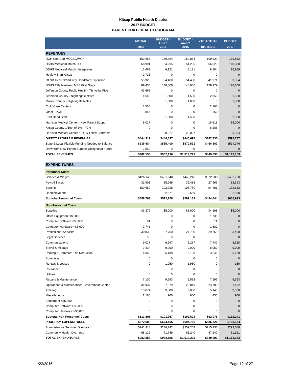#### **Kitsap Public Health District 2017 BUDGET PARENT CHILD HEALTH PROGRAM**

|                                                  | <b>ACTUAL</b> | <b>BUDGET -</b><br>Amd 1 | <b>BUDGET -</b><br>Amd <sub>2</sub> | <b>YTD ACTUAL</b> | <b>BUDGET</b> |
|--------------------------------------------------|---------------|--------------------------|-------------------------------------|-------------------|---------------|
|                                                  | 2015          | 2016                     | 2016                                | 10/31/2016        | 2017          |
| <b>REVENUES</b>                                  |               |                          |                                     |                   |               |
| DOH Con Con MCGBG/MCH                            | 159.855       | 159.854                  | 159.854                             | 109.529           | 159,852       |
| <b>DSHS Medicaid Match - PCH</b>                 | 66,991        | 54,295                   | 54,295                              | 66,629            | 118,338       |
| DSHS Medicaid Match - Interpreter                | 11,663        | 6,121                    | 6,121                               | 8,604             | 10,989        |
| <b>Healthy Start Kitsap</b>                      | 2,726         | $\mathbf 0$              | $\Omega$                            | $\Omega$          | $\Omega$      |
| OESD Head Start/Early Headstart Expansion        | 55.925        | 54,400                   | 54.400                              | 41,971            | 63,024        |
| DSHS Title Nineteen MSS First Steps              | 89,435        | 140,000                  | 140,000                             | 128,179           | 190,200       |
| Jefferson County Public Health - Thrive by Five  | 43,663        | $\mathbf 0$              | $\Omega$                            | $\Omega$          | $\Omega$      |
| Jefferson County - Nightingale Notes             | 1,688         | 1,500                    | 1,500                               | 2,650             | 1,500         |
| Mason County - Nightingale Notes                 | 0             | 1,000                    | 1,000                               | $\Omega$          | 1,000         |
| <b>Child Care Centers</b>                        | 3,500         | $\mathbf 0$              | $\Omega$                            | 2.105             | $\Omega$      |
| Other - PCH                                      | 856           | $\mathbf 0$              | $\Omega$                            | 260               | $\Omega$      |
| <b>KCR Head Start</b>                            | 0             | 1,500                    | 1,500                               | $\Omega$          | 2,500         |
| Harrison Medical Center - New Parent Support     | 8,017         | 0                        | 0                                   | 16,518            | 18,000        |
| Kitsap County 1/10th of 1% - PCH                 | 0             | $\mathbf 0$              | $\Omega$                            | 6.285             | $\Omega$      |
| Harrison Medical Center & OESD New Contracts     | 0             | 28,027                   | 28,027                              | 0                 | 33,384        |
| <b>DIRECT PROGRAM REVENUES</b>                   | \$444,319     | \$446,697                | \$446.697                           | \$382,730         | \$598,787     |
| State & Local Flexible Funding Needed to Balance | \$535,684     | \$535,499                | \$572,532                           | \$466,363         | \$514,376     |
| Draw from New Parent Support Designated Funds    | 2,550         | 0                        | 0                                   | 0                 | 0             |
| <b>TOTAL REVENUES</b>                            | \$982,553     | \$982,196                | \$1,019,229                         | \$849,093         | \$1,113,163   |

| <b>EXPENDITURES</b>                         |           |             |             |           |              |
|---------------------------------------------|-----------|-------------|-------------|-----------|--------------|
| <b>Personnel Costs</b>                      |           |             |             |           |              |
| Salaries & Wages                            | \$426,148 | \$431,640   | \$446,240   | \$372,280 | \$482,700    |
| Payroll Taxes                               | 31,903    | 35,269      | 36,483      | 27,963    | 38,693       |
| <b>Benefits</b>                             | 100,652   | 102,728     | 106,780     | 94,401    | 132,652      |
| Unemployment                                | 0         | 2,571       | 2,659       | 0         | 2,868        |
| <b>Subtotal Personnel Costs</b>             | \$558,703 | \$572,208   | \$592,162   | \$494,644 | \$656,913    |
| <b>Non-Personnel Costs</b>                  |           |             |             |           |              |
| Supplies                                    | \$3,379   | \$5,000     | \$5,000     | \$4,168   | \$5,000      |
| Office Equipment <\$5,000                   | 0         | 0           | $\mathbf 0$ | 1,735     | $\mathbf 0$  |
| Computer Software <\$5,000                  | 81        | $\mathbf 0$ | $\mathbf 0$ | 11        | $\Omega$     |
| Computer Hardware <\$5,000                  | 2,745     | 0           | 0           | 1,682     | $\mathbf{0}$ |
| <b>Professional Services</b>                | 30,832    | 27,700      | 27,700      | 29,269    | 33,400       |
| <b>Legal Services</b>                       | 58        | $\mathbf 0$ | $\mathbf 0$ | 0         | $\Omega$     |
| Communications                              | 9,017     | 6,297       | 6,297       | 7,440     | 8,628        |
| Travel & Mileage                            | 9,434     | 9,000       | 9,000       | 8,050     | 9,000        |
| Parking & Commute Trip Reduction            | 4,362     | 5,138       | 5,138       | 3,246     | 5,138        |
| Advertising                                 | 0         | 0           | 0           | 0         | $\mathbf 0$  |
| <b>Rentals &amp; Leases</b>                 | 0         | 1,950       | 1,950       | 0         | 150          |
| Insurance                                   | 0         | $\mathbf 0$ | $\mathbf 0$ | 0         | $\mathbf{0}$ |
| <b>Utilities</b>                            | 0         | $\mathbf 0$ | $\mathbf 0$ | 0         | $\Omega$     |
| Repairs & Maintenance                       | 7,100     | 9,593       | 9,593       | 7,195     | 9,593        |
| Operations & Maintenance: Government Center | 31,937    | 27,379      | 28,046      | 23,700    | 31,432       |
| Training                                    | 13.674    | 9,000       | 9,000       | 5.145     | 9,000        |
| Miscellaneous                               | 1,186     | 900         | 900         | 435       | 900          |
| Equipment >\$5,000                          | 0         | $\mathbf 0$ | $\mathbf 0$ | 0         | $\Omega$     |
| Computer Software >\$5,000                  | 0         | $\mathbf 0$ | $\mathbf 0$ | 0         | $\mathbf 0$  |
| Computer Hardware > \$5,000                 | 0         | 0           | 0           | 0         | $\mathbf 0$  |
| <b>Subtotal Non-Personnel Costs</b>         | \$113,805 | \$101,957   | \$102,624   | \$92,076  | \$112,241    |
| <b>PROGRAM EXPENDITURES</b>                 | \$672,508 | \$674,165   | \$694,786   | \$586,720 | \$769,154    |
| Administrative Services Overhead            | \$241,913 | \$236,242   | \$259,203   | \$215,233 | \$292,088    |
| <b>Community Health Overhead</b>            | 68,132    | 71,789      | 65,240      | 47,140    | 51,921       |

**TOTAL EXPENDITURES \$982,553 \$982,196 \$1,019,229 \$849,093 \$1,113,163**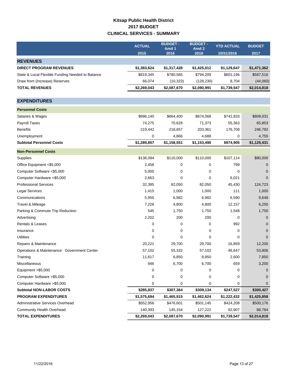## **Kitsap Public Health District 2017 BUDGET CLINICAL SERVICES - SUMMARY**

|                                                  | <b>ACTUAL</b><br>2015 | <b>BUDGET -</b><br>Amd 1<br>2016 | <b>BUDGET -</b><br>Amd <sub>2</sub><br>2016 | <b>YTD ACTUAL</b><br>10/31/2016 | <b>BUDGET</b><br>2017 |
|--------------------------------------------------|-----------------------|----------------------------------|---------------------------------------------|---------------------------------|-----------------------|
| <b>REVENUES</b>                                  |                       |                                  |                                             |                                 |                       |
| <b>DIRECT PROGRAM REVENUES</b>                   | \$1,383,624           | \$1,317,428                      | \$1,425,012                                 | \$1,129,647                     | \$1,471,362           |
| State & Local Flexible Funding Needed to Balance | \$819,345             | \$780,565                        | \$794,209                                   | \$601,196                       | \$587,516             |
| Draw from (Increase) Reserves                    | 66,074                | (10, 323)                        | (128, 230)                                  | 8,704                           | (44,060)              |
| <b>TOTAL REVENUES</b>                            | \$2,269,043           | \$2,087,670                      | \$2,090,991                                 | \$1,739,547                     | \$2,014,818           |
|                                                  |                       |                                  |                                             |                                 |                       |
| <b>EXPENDITURES</b>                              |                       |                                  |                                             |                                 |                       |
| <b>Personnel Costs</b>                           |                       |                                  |                                             |                                 |                       |
| Salaries & Wages                                 | \$996,140             | \$864,400                        | \$874,068                                   | \$742,833                       | \$808,031             |
| <b>Payroll Taxes</b>                             | 74,275                | 70,628                           | 71,373                                      | 55,363                          | 65,853                |
| <b>Benefits</b>                                  | 219,442               | 218,657                          | 203,361                                     | 176,709                         | 246,792               |
| Unemployment                                     | 0                     | 4,866                            | 4,688                                       | 0                               | 4,755                 |
| <b>Subtotal Personnel Costs</b>                  | \$1,289,857           | \$1,158,551                      | \$1,153,490                                 | \$974,905                       | \$1,125,431           |
| <b>Non-Personnel Costs</b>                       |                       |                                  |                                             |                                 |                       |
| Supplies                                         | \$136,094             | \$110,000                        | \$110,000                                   | \$107,114                       | \$80,000              |
| Office Equipment <\$5,000                        | 2,456                 | 0                                | 0                                           | 799                             | 0                     |
| Computer Software <\$5,000                       | 5,000                 | 0                                | 0                                           | 0                               | 0                     |
| Computer Hardware <\$5,000                       | 2,663                 | 0                                | 0                                           | 6,021                           | $\Omega$              |
| <b>Professional Services</b>                     | 32,395                | 82,050                           | 82,050                                      | 45,430                          | 124,723               |
| <b>Legal Services</b>                            | 1,415                 | 1,000                            | 1,000                                       | 111                             | 1,000                 |
| Communications                                   | 5,955                 | 6,982                            | 6,982                                       | 6,590                           | 9,648                 |
| Travel & Mileage                                 | 7,226                 | 4,800                            | 4,800                                       | 12,157                          | 6,250                 |
| Parking & Commute Trip Reduction                 | 545                   | 1,750                            | 1,750                                       | 1,548                           | 1,750                 |
| Advertising                                      | 2,202                 | 200                              | 200                                         | 0                               | $\mathbf{0}$          |
| <b>Rentals &amp; Leases</b>                      | 0                     | 0                                | 0                                           | 992                             | $\mathbf 0$           |
| Insurance                                        | 0                     | 0                                | 0                                           | 0                               | $\Omega$              |
| <b>Utilities</b>                                 | 0                     | 0                                | 0                                           | 0                               | $\Omega$              |
| Repairs & Maintenance                            | 20,221                | 29,700                           | 29,700                                      | 16,859                          | 12,200                |
| Operations & Maintenance: Government Center      | 57,102                | 55,332                           | 57,102                                      | 46,647                          | 53,806                |
| Training                                         | 11,617                | 8,850                            | 8,850                                       | 2,600                           | 7,850                 |
| Miscellaneous                                    | 946                   | 6,700                            | 6,700                                       | 659                             | 3,200                 |
| Equipment > \$5,000                              | 0                     | 0                                | 0                                           | 0                               | 0                     |
| Computer Software > \$5,000                      | 0                     | 0                                | 0                                           | 0                               | $\Omega$              |
| Computer Hardware > \$5,000                      | 0                     | 0                                | 0                                           | 0                               | 0                     |
| <b>Subtotal NON-LABOR COSTS</b>                  | \$285,837             | \$307,364                        | \$309,134                                   | \$247,527                       | \$300,427             |
| <b>PROGRAM EXPENDITURES</b>                      | \$1,575,694           | \$1,465,915                      | \$1,462,624                                 | \$1,222,432                     | \$1,425,858           |
| Administrative Services Overhead                 | \$552,956             | \$476,601                        | \$501,145                                   | \$424,208                       | \$500,176             |
| <b>Community Health Overhead</b>                 | 140,393               | 145,154                          | 127,222                                     | 92,907                          | 88,784                |
| <b>TOTAL EXPENDITURES</b>                        | \$2,269,043           | \$2,087,670                      | \$2,090,991                                 | \$1,739,547                     | \$2,014,818           |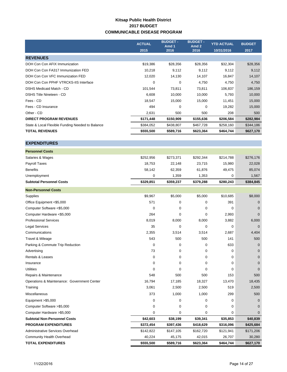### **Kitsap Public Health District 2017 BUDGET COMMUNICABLE DISEASE PROGRAM**

|                                                  | <b>ACTUAL</b> | <b>BUDGET -</b><br>Amd 1 | <b>BUDGET -</b><br>Amd <sub>2</sub> | <b>YTD ACTUAL</b> | <b>BUDGET</b> |
|--------------------------------------------------|---------------|--------------------------|-------------------------------------|-------------------|---------------|
|                                                  | 2015          | 2016                     | 2016                                | 10/31/2016        | 2017          |
| <b>REVENUES</b>                                  |               |                          |                                     |                   |               |
| DOH Con Con AFIX Immunization                    | \$19,386      | \$28,356                 | \$28,356                            | \$32,304          | \$28,356      |
| DOH Con Con FA317 Immunization FED               | 10,218        | 9,112                    | 9,112                               | 9,112             | 9,112         |
| DOH Con Con VFC Immunization FED                 | 12,020        | 14,130                   | 14,107                              | 16,847            | 14,107        |
| DOH Con Con PPHF VTRCKS-IIS Interface            | 0             | 0                        | 4,750                               | 4,750             | 4,750         |
| DSHS Medicaid Match - CD                         | 101,544       | 73,811                   | 73,811                              | 106,837           | 186,159       |
| <b>DSHS Title Nineteen - CD</b>                  | 6,608         | 10,000                   | 10,000                              | 5,793             | 10,000        |
| Fees - CD                                        | 18,547        | 15,000                   | 15,000                              | 11,451            | 15,000        |
| Fees - CD Insurance                              | 494           | $\Omega$                 | 0                                   | 19,282            | 15,000        |
| Other - CD                                       | 2,631         | 500                      | 500                                 | 208               | 500           |
| <b>DIRECT PROGRAM REVENUES</b>                   | \$171,448     | \$150,909                | \$155,636                           | \$206,584         | \$282,984     |
| State & Local Flexible Funding Needed to Balance | \$384,052     | \$438,807                | \$467,728                           | \$258,160         | \$344,186     |
| <b>TOTAL REVENUES</b>                            | \$555,500     | \$589,716                | \$623,364                           | \$464,744         | \$627,170     |

| <b>Non-Personnel Costs</b>      |           |           |           |           |           |
|---------------------------------|-----------|-----------|-----------|-----------|-----------|
| <b>Subtotal Personnel Costs</b> | \$329,851 | \$359,237 | \$379,288 | \$280,243 | \$384,845 |
| Unemployment                    | 0         | 1,359     | 1.353     | 0         | 1,567     |
| <b>Benefits</b>                 | 58,142    | 62,359    | 61,876    | 49.475    | 85,074    |
| <b>Payroll Taxes</b>            | 18,753    | 22,148    | 23,715    | 15.980    | 22,028    |
| Salaries & Wages                | \$252,956 | \$273,371 | \$292,344 | \$214.788 | \$276,176 |
| <b>Personnel Costs</b>          |           |           |           |           |           |

| Supplies                                    | \$9,967     | \$5,000   | \$5,000     | \$10,685  | \$8,000     |
|---------------------------------------------|-------------|-----------|-------------|-----------|-------------|
| Office Equipment <\$5,000                   | 571         | 0         | 0           | 391       | 0           |
| Computer Software <\$5,000                  | $\mathbf 0$ | 0         | $\mathbf 0$ | 0         | $\mathbf 0$ |
| Computer Hardware <\$5,000                  | 264         | 0         | 0           | 2,993     | $\Omega$    |
| <b>Professional Services</b>                | 8,019       | 8,000     | 8,000       | 3,882     | 6,000       |
| <b>Legal Services</b>                       | 35          | 0         | 0           | 0         | $\mathbf 0$ |
| Communications                              | 2,355       | 3,514     | 3,514       | 2,687     | 4,404       |
| Travel & Mileage                            | 543         | 500       | 500         | 141       | 500         |
| Parking & Commute Trip Reduction            | $\mathbf 0$ | 0         | 0           | 633       | $\Omega$    |
| Advertising                                 | 73          | 0         | 0           | $\Omega$  | $\mathbf 0$ |
| <b>Rentals &amp; Leases</b>                 | 0           | 0         | 0           | $\Omega$  | $\mathbf 0$ |
| Insurance                                   | 0           | 0         | 0           | 0         | 0           |
| <b>Utilities</b>                            | $\Omega$    | $\Omega$  | $\Omega$    | $\Omega$  | $\Omega$    |
| Repairs & Maintenance                       | 548         | 500       | 500         | 153       | 500         |
| Operations & Maintenance: Government Center | 16,794      | 17,185    | 18,327      | 13,470    | 18,435      |
| Training                                    | 3,061       | 2,500     | 2,500       | 519       | 2,500       |
| Miscellaneous                               | 373         | 1,000     | 1,000       | 299       | 500         |
| Equipment >\$5,000                          | 0           | 0         | 0           | 0         | $\Omega$    |
| Computer Software >\$5,000                  | $\mathbf 0$ | 0         | 0           | 0         | $\Omega$    |
| Computer Hardware > \$5,000                 | 0           | 0         | 0           | 0         | $\Omega$    |
| <b>Subtotal Non-Personnel Costs</b>         | \$42,603    | \$38,199  | \$39,341    | \$35,853  | \$40,839    |
| <b>PROGRAM EXPENDITURES</b>                 | \$372,454   | \$397,436 | \$418,629   | \$316,096 | \$425,684   |
| Administrative Services Overhead            | \$142,822   | \$147,105 | \$162,720   | \$121,941 | \$171,206   |
| <b>Community Health Overhead</b>            | 40,224      | 45,175    | 42,015      | 26,707    | 30,280      |
| <b>TOTAL EXPENDITURES</b>                   | \$555,500   | \$589,716 | \$623,364   | \$464,744 | \$627,170   |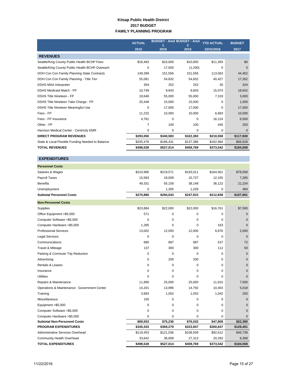#### **Kitsap Public Health District 2017 BUDGET FAMILY PLANNING PROGRAM**

|                                                  | <b>ACTUAL</b> | <b>BUDGET - Amd BUDGET - Amd</b> |           | <b>YTD ACTUAL</b> | <b>BUDGET</b> |
|--------------------------------------------------|---------------|----------------------------------|-----------|-------------------|---------------|
|                                                  | 2015          | 2016                             | 2016      | 10/31/2016        | 2017          |
| <b>REVENUES</b>                                  |               |                                  |           |                   |               |
| Seattle/King County Public Health BCHP Fees      | \$16,483      | \$10,000                         | \$10,000  | \$11,393          | \$0           |
| Seattle/King County Public Health BCHP Outreach  | 0             | 17,000                           | (1,200)   | $\Omega$          | $\Omega$      |
| DOH Con Con Family Planning State Contracts      | 149,289       | 151,556                          | 151,556   | 113,063           | 44,452        |
| DOH Con Con Family Planning - Title Ten          | 55.081        | 54.832                           | 54,832    | 40.427            | 17,262        |
| <b>DSHS MAA Interpreter</b>                      | 354           | 252                              | 252       | 30                | 324           |
| <b>DSHS Medicaid Match - FP</b>                  | 10,749        | 9,843                            | 9,843     | 15,074            | 18,642        |
| <b>DSHS Title Nineteen - FP</b>                  | 19,646        | 55,000                           | 55,000    | 7,319             | 3,000         |
| DSHS Title Nineteen Take Charge - FP             | 25,448        | 15,000                           | 15,000    | $\Omega$          | 1,000         |
| DSHS Title Nineteen Meaningful Use               | 0             | 17,000                           | 17,000    | 0                 | 17,000        |
| Fees - FP                                        | 11,232        | 10,000                           | 10,000    | 6,683             | 10,000        |
| Fees - FP Insurance                              | 4,761         | 0                                | 0         | 16,124            | 6,000         |
| Other - FP                                       | 7             | 100                              | 100       | 445               | 250           |
| Harrison Medical Center - Centricity EMR         | 0             | 0                                | 0         | 0                 | $\mathbf 0$   |
| <b>DIRECT PROGRAM REVENUES</b>                   | \$293,050     | \$340,583                        | \$322,383 | \$210,558         | \$117,930     |
| State & Local Flexible Funding Needed to Balance | \$205,478     | \$186,431                        | \$137,386 | \$162,984         | \$66,628      |
| <b>TOTAL REVENUES</b>                            | \$498,528     | \$527,014                        | \$459,769 | \$373,542         | \$184,558     |

| <b>Personnel Costs</b>                      |             |           |             |             |              |
|---------------------------------------------|-------------|-----------|-------------|-------------|--------------|
| Salaries & Wages                            | \$210.966   | \$219,571 | \$193,011   | \$164,561   | \$78,058     |
| Payroll Taxes                               | 15,583      | 18,009    | 15,727      | 12,155      | 7,285        |
| <b>Benefits</b>                             | 49,331      | 55,158    | 38,148      | 36,122      | 21,234       |
| Unemployment                                | 0           | 1,305     | 1,029       | 0           | 484          |
| <b>Subtotal Personnel Costs</b>             | \$275,880   | \$294,043 | \$247,915   | \$212,838   | \$107,061    |
| <b>Non-Personnel Costs</b>                  |             |           |             |             |              |
| Supplies                                    | \$23,884    | \$22,000  | \$22,000    | \$16,761    | \$7,500      |
| Office Equipment <\$5,000                   | 571         | 0         | 0           | 0           | $\Omega$     |
| Computer Software <\$5,000                  | 0           | 0         | 0           | 0           | $\mathbf 0$  |
| Computer Hardware <\$5,000                  | 1,295       | 0         | 0           | 163         | $\mathbf{0}$ |
| <b>Professional Services</b>                | 13,002      | 12,000    | 12,000      | 6,876       | 2,000        |
| <b>Legal Services</b>                       | 0           | 0         | $\mathbf 0$ | 0           | $\mathbf{0}$ |
| Communications                              | 685         | 687       | 687         | 537         | 72           |
| Travel & Mileage                            | 137         | 300       | 300         | 112         | 50           |
| Parking & Commute Trip Reduction            | $\mathbf 0$ | $\Omega$  | $\Omega$    | $\mathbf 0$ | $\mathbf{0}$ |
| Advertising                                 | 0           | 200       | 200         | 0           | $\mathbf{0}$ |
| <b>Rentals &amp; Leases</b>                 | 0           | 0         | 0           | 0           | $\mathbf{0}$ |
| Insurance                                   | 0           | 0         | $\mathbf 0$ | 0           | $\mathbf 0$  |
| <b>Utilities</b>                            | $\Omega$    | $\Omega$  | $\Omega$    | $\Omega$    | $\Omega$     |
| Repairs & Maintenance                       | 11,990      | 25,000    | 25,000      | 11,915      | 7,500        |
| Operations & Maintenance: Government Center | 14,201      | 13,996    | 14,792      | 10,403      | 5,018        |
| Training                                    | 3,683       | 1,053     | 1,053       | 1,042       | 250          |
| Miscellaneous                               | 105         | 0         | 0           | 0           | $\mathbf 0$  |
| Equipment > \$5,000                         | 0           | 0         | 0           | 0           | $\mathbf 0$  |
| Computer Software >\$5,000                  | 0           | 0         | 0           | 0           | $\mathbf{0}$ |
| Computer Hardware >\$5,000                  | 0           | 0         | 0           | 0           | $\Omega$     |
| <b>Subtotal Non-Personnel Costs</b>         | \$69,553    | \$75,236  | \$76,032    | \$47,809    | \$22,390     |
| <b>PROGRAM EXPENDITURES</b>                 | \$345,433   | \$369,279 | \$323,947   | \$260,647   | \$129,451    |
| Administrative Services Overhead            | \$119,453   | \$121,036 | \$108,509   | \$92,612    | \$46,739     |
| Community Health Overhead                   | 33,642      | 36,699    | 27,313      | 20,283      | 8,368        |
| <b>TOTAL EXPENDITURES</b>                   | \$498,528   | \$527,014 | \$459,769   | \$373,542   | \$184,558    |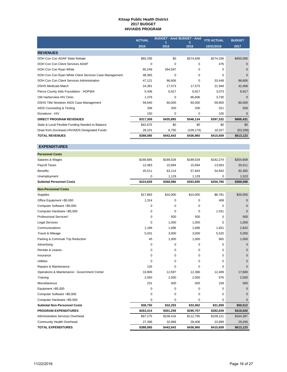#### **Kitsap Public Health District 2017 BUDGET HIV/AIDS PROGRAM**

|                                                        | <b>ACTUAL</b> | <b>BUDGET - Amd BUDGET - Amd</b> |            | <b>YTD ACTUAL</b> | <b>BUDGET</b> |
|--------------------------------------------------------|---------------|----------------------------------|------------|-------------------|---------------|
|                                                        | 2015          | 2016                             | 2016       | 10/31/2016        | 2017          |
| <b>REVENUES</b>                                        |               |                                  |            |                   |               |
| DOH Con Con ADAP State Rebate                          | \$65,256      | \$0                              | \$374,838  | \$274,336         | \$450,000     |
| DOH Con Con Client Services ADAP                       | 0             | 0                                | 0          | 476               | $\Omega$      |
| DOH Con Con Ryan White                                 | 65,248        | 264,597                          | 0          | $\Omega$          | $\Omega$      |
| DOH Con Con Ryan White Client Services Case Management | 48,365        | $\Omega$                         | $\Omega$   | $\Omega$          | $\Omega$      |
| DOH Con Con Client Services Administration             | 47,121        | 86,606                           | $\Omega$   | 33,448            | 86,606        |
| <b>DSHS Medicaid Match</b>                             | 24,381        | 17,573                           | 17,573     | 21,948            | 42,408        |
| Pierce County Aids Foundation - HOPWA                  | 5,436         | 6,917                            | 6,917      | 3,073             | 6,917         |
| UW Harborview HIV Clinic                               | 1,376         | 0                                | 86,606     | 3,730             | $\Omega$      |
| DSHS Title Nineteen AIDS Case Management               | 59,640        | 60,000                           | 60,000     | 59,900            | 80,000        |
| AIDS Counseling & Testing                              | 336           | 200                              | 200        | 321               | 500           |
| Donations - HIV                                        | 150           | 0                                | 0          | 100               | $\Omega$      |
| <b>DIRECT PROGRAM REVENUES</b>                         | \$317,309     | \$435,893                        | \$546,134  | \$397,332         | \$666,431     |
| State & Local Flexible Funding Needed to Balance       | \$42,675      | \$0                              | \$0        | \$0               | \$0           |
| Draw from (Increase) HIV/AIDS Designated Funds         | 28,101        | 6,750                            | (109, 174) | 18,327            | (53, 308)     |
| <b>TOTAL REVENUES</b>                                  | \$388,085     | \$442,643                        | \$436,960  | \$415,659         | \$613,123     |

| <b>Personnel Costs</b>                      |           |             |           |             |              |
|---------------------------------------------|-----------|-------------|-----------|-------------|--------------|
| Salaries & Wages                            | \$166.665 | \$189,029   | \$189.029 | \$182.274   | \$254,609    |
| Payroll Taxes                               | 12,483    | 15,694      | 15,694    | 13,563      | 20,511       |
| <b>Benefits</b>                             | 45,511    | 63,114      | 57,843    | 54,943      | 92,365       |
| Unemployment                                | 0         | 1,129       | 1,129     | 0           | 1,523        |
| <b>Subtotal Personnel Costs</b>             | \$224,659 | \$268,966   | \$263,695 | \$250,780   | \$369,008    |
| <b>Non-Personnel Costs</b>                  |           |             |           |             |              |
| Supplies                                    | \$17,863  | \$10,000    | \$10,000  | \$8,781     | \$20,000     |
| Office Equipment <\$5,000                   | 1,314     | 0           | $\Omega$  | 408         | $\Omega$     |
| Computer Software <\$5,000                  | 0         | 0           | 0         | $\mathbf 0$ | $\mathbf{0}$ |
| Computer Hardware <\$5,000                  | 0         | 0           | 0         | 1,031       | $\mathbf 0$  |
| Professional Services*                      | 0         | 500         | 500       | $\mathbf 0$ | 500          |
| <b>Legal Services</b>                       | 0         | 1,000       | 1,000     | $\mathbf 0$ | 1,000        |
| Communications                              | 1,189     | 1,696       | 1,696     | 1,831       | 2,832        |
| Travel & Mileage                            | 5,031     | 3,000       | 3,000     | 5,520       | 5,000        |
| Parking & Commute Trip Reduction            | 45        | 1,000       | 1,000     | 665         | 1,000        |
| Advertising                                 | 0         | 0           | 0         | 0           | $\mathbf{0}$ |
| Rentals & Leases                            | 0         | 0           | 0         | $\mathbf 0$ | $\mathbf{0}$ |
| Insurance                                   | 0         | 0           | 0         | $\mathbf 0$ | $\mathbf{0}$ |
| <b>Utilities</b>                            | 0         | 0           | $\Omega$  | $\mathbf 0$ | $\Omega$     |
| Repairs & Maintenance                       | 126       | $\mathbf 0$ | 0         | $\mathbf 0$ | $\Omega$     |
| Operations & Maintenance: Government Center | 10,906    | 12,597      | 12,366    | 12,489      | 17,680       |
| Training                                    | 2,050     | 2,000       | 2,000     | 976         | 2,000        |
| Miscellaneous                               | 231       | 500         | 500       | 158         | 500          |
| Equipment > \$5,000                         | 0         | 0           | 0         | $\mathbf 0$ | $\mathbf 0$  |
| Computer Software > \$5,000                 | 0         | 0           | 0         | $\mathbf 0$ | $\Omega$     |
| Computer Hardware >\$5,000                  | 0         | 0           | 0         | $\mathbf 0$ | $\Omega$     |
| <b>Subtotal Non-Personnel Costs</b>         | \$38,755  | \$32,293    | \$32,062  | \$31,859    | \$50,512     |
| <b>PROGRAM EXPENDITURES</b>                 | \$263,414 | \$301,259   | \$295,757 | \$282,639   | \$419,520    |
| Administrative Services Overhead            | \$97,275  | \$108,416   | \$112,795 | \$109,121   | \$164,397    |
| Community Health Overhead                   | 27,396    | 32,968      | 28,408    | 23,899      | 29,206       |
| <b>TOTAL EXPENDITURES</b>                   | \$388,085 | \$442,643   | \$436,960 | \$415,659   | \$613,123    |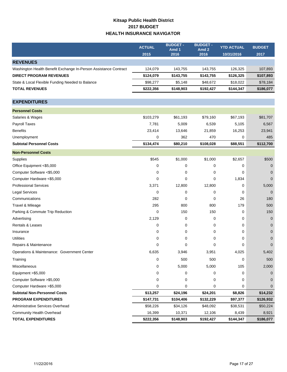## **Kitsap Public Health District 2017 BUDGET HEALTH INSURANCE NAVIGATOR**

|                                                                  | <b>ACTUAL</b> | <b>BUDGET -</b> | <b>BUDGET -</b>          | <b>YTD ACTUAL</b> | <b>BUDGET</b> |
|------------------------------------------------------------------|---------------|-----------------|--------------------------|-------------------|---------------|
|                                                                  | 2015          | Amd 1<br>2016   | Amd <sub>2</sub><br>2016 | 10/31/2016        | 2017          |
| <b>REVENUES</b>                                                  |               |                 |                          |                   |               |
| Washington Health Benefit Exchange In-Person Assistance Contract | 124,079       | 143,755         | 143,755                  | 126,325           | 107,893       |
| <b>DIRECT PROGRAM REVENUES</b>                                   | \$124,079     | \$143,755       | \$143,755                | \$126,325         | \$107,893     |
| State & Local Flexible Funding Needed to Balance                 | \$98,277      | \$5,148         | \$48,672                 | \$18,022          | \$78,184      |
| <b>TOTAL REVENUES</b>                                            | \$222,356     | \$148,903       | \$192,427                | \$144,347         | \$186,077     |
|                                                                  |               |                 |                          |                   |               |
| <b>EXPENDITURES</b>                                              |               |                 |                          |                   |               |
| <b>Personnel Costs</b>                                           |               |                 |                          |                   |               |
| Salaries & Wages                                                 | \$103,279     | \$61,193        | \$79,160                 | \$67,193          | \$81,707      |
| Payroll Taxes                                                    | 7,781         | 5,009           | 6,539                    | 5,105             | 6,567         |
| <b>Benefits</b>                                                  | 23,414        | 13,646          | 21,859                   | 16,253            | 23,941        |
| Unemployment                                                     | 0             | 362             | 470                      | 0                 | 485           |
| <b>Subtotal Personnel Costs</b>                                  | \$134,474     | \$80,210        | \$108,028                | \$88,551          | \$112,700     |
| <b>Non-Personnel Costs</b>                                       |               |                 |                          |                   |               |
| Supplies                                                         | \$545         | \$1,000         | \$1,000                  | \$2,657           | \$500         |
| Office Equipment <\$5,000                                        | 0             | 0               | 0                        | 0                 | 0             |
| Computer Software <\$5,000                                       | 0             | 0               | 0                        | 0                 | $\Omega$      |
| Computer Hardware <\$5,000                                       | 0             | 0               | 0                        | 1,834             | $\mathbf 0$   |
| <b>Professional Services</b>                                     | 3,371         | 12,800          | 12,800                   | 0                 | 5,000         |
| <b>Legal Services</b>                                            | $\mathbf 0$   | 0               | 0                        | 0                 | $\Omega$      |
| Communications                                                   | 282           | 0               | 0                        | 26                | 180           |
| Travel & Mileage                                                 | 295           | 800             | 800                      | 179               | 500           |
| Parking & Commute Trip Reduction                                 | 0             | 150             | 150                      | 0                 | 150           |
| Advertising                                                      | 2,129         | 0               | 0                        | 0                 | $\mathbf 0$   |
| Rentals & Leases                                                 | 0             | 0               | 0                        | 0                 | $\mathbf 0$   |
| Insurance                                                        | 0             | 0               | 0                        | 0                 | $\mathbf 0$   |
| <b>Utilities</b>                                                 | 0             | 0               | 0                        | 0                 | 0             |
| Repairs & Maintenance                                            | 0             | 0               | 0                        | 0                 | $\mathbf 0$   |
| Operations & Maintenance: Government Center                      | 6,635         | 3,946           | 3,951                    | 4,025             | 5,402         |
| Training                                                         | 0             | 500             | 500                      | 0                 | 500           |
| Miscellaneous                                                    | 0             | 5,000           | 5,000                    | 105               | 2,000         |
| Equipment >\$5,000                                               | 0             | 0               | 0                        | 0                 | 0             |
| Computer Software > \$5,000                                      | 0             | 0               | 0                        | 0                 | 0             |
| Computer Hardware > \$5,000                                      | 0             | 0               | 0                        | 0                 | 0             |
| <b>Subtotal Non-Personnel Costs</b>                              | \$13,257      | \$24,196        | \$24,201                 | \$8,826           | \$14,232      |
| <b>PROGRAM EXPENDITURES</b>                                      | \$147,731     | \$104,406       | \$132,229                | \$97,377          | \$126,932     |
| Administrative Services Overhead                                 | \$58,226      | \$34,126        | \$48,092                 | \$38,531          | \$50,224      |
| <b>Community Health Overhead</b>                                 | 16,399        | 10,371          | 12,106                   | 8,439             | 8,921         |
| <b>TOTAL EXPENDITURES</b>                                        | \$222,356     | \$148,903       | \$192,427                | \$144,347         | \$186,077     |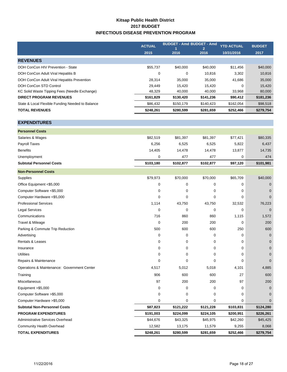## **Kitsap Public Health District 2017 BUDGET INFECTIOUS DISEASE PREVENTION PROGRAM**

|                                                  | <b>ACTUAL</b> | <b>BUDGET - Amd BUDGET - Amd</b> |                        | <b>YTD ACTUAL</b> | <b>BUDGET</b> |
|--------------------------------------------------|---------------|----------------------------------|------------------------|-------------------|---------------|
|                                                  | 2015          | 2016                             | $\overline{2}$<br>2016 | 10/31/2016        | 2017          |
| <b>REVENUES</b>                                  |               |                                  |                        |                   |               |
| DOH ConCon HIV Prevention - State                | \$55,737      | \$40,000                         | \$40,000               | \$11,456          | \$40,000      |
| DOH ConCon Adult Viral Hepatitis B               | 0             | $\mathbf 0$                      | 10,816                 | 3,302             | 10,816        |
| DOH ConCon Adult Viral Hepatitis Prevention      | 28,314        | 35,000                           | 35,000                 | 41,686            | 35,000        |
| DOH ConCon STD Control                           | 29,449        | 15,420                           | 15,420                 | 0                 | 15,420        |
| KC Solid Waste Tipping Fees (Needle Exchange)    | 48,329        | 40,000                           | 40,000                 | 33,968            | 80,000        |
| <b>DIRECT PROGRAM REVENUES</b>                   | \$161,829     | \$130,420                        | \$141,236              | \$90,412          | \$181,236     |
| State & Local Flexible Funding Needed to Balance | \$86,432      | \$150,179                        | \$140,423              | \$162,054         | \$98,518      |
| <b>TOTAL REVENUES</b>                            | \$248,261     | \$280,599                        | \$281,659              | \$252,466         | \$279,754     |
|                                                  |               |                                  |                        |                   |               |
| <b>EXPENDITURES</b>                              |               |                                  |                        |                   |               |
| <b>Personnel Costs</b>                           |               |                                  |                        |                   |               |
| Salaries & Wages                                 | \$82,519      | \$81,397                         | \$81,397               | \$77,421          | \$80,335      |
| Payroll Taxes                                    | 6,256         | 6,525                            | 6,525                  | 5,822             | 6,437         |
| <b>Benefits</b>                                  | 14,405        | 14,478                           | 14,478                 | 13,877            | 14,735        |
| Unemployment                                     | 0             | 477                              | 477                    | 0                 | 474           |
| <b>Subtotal Personnel Costs</b>                  | \$103,180     | \$102,877                        | \$102,877              | \$97,120          | \$101,981     |
| <b>Non-Personnel Costs</b>                       |               |                                  |                        |                   |               |
| Supplies                                         | \$79,973      | \$70,000                         | \$70,000               | \$65,709          | \$40,000      |
| Office Equipment <\$5,000                        | 0             | 0                                | $\mathbf 0$            | 0                 | $\mathbf{0}$  |
| Computer Software <\$5,000                       | 0             | 0                                | 0                      | 0                 | $\mathbf{0}$  |
| Computer Hardware <\$5,000                       | $\mathbf 0$   | $\mathbf 0$                      | 0                      | $\Omega$          | $\Omega$      |
| <b>Professional Services</b>                     | 1,114         | 43,750                           | 43,750                 | 32,532            | 76,223        |
| <b>Legal Services</b>                            | $\mathbf 0$   | 0                                | 0                      | 0                 | $\mathbf 0$   |
| Communications                                   | 716           | 860                              | 860                    | 1,115             | 1,572         |
| Travel & Mileage                                 | $\mathbf 0$   | 200                              | 200                    | 0                 | 200           |
| Parking & Commute Trip Reduction                 | 500           | 600                              | 600                    | 250               | 600           |
| Advertising                                      | 0             | 0                                | 0                      | 0                 | $\mathbf{0}$  |
| Rentals & Leases                                 | 0             | 0                                | 0                      | 0                 | $\mathbf 0$   |
| Insurance                                        | $\mathbf 0$   | 0                                | 0                      | 0                 | 0             |
| <b>Utilities</b>                                 | 0             | 0                                | 0                      | 0                 | 0             |
| Repairs & Maintenance                            | $\mathbf 0$   | 0                                | 0                      | $\mathbf 0$       | 0             |
| Operations & Maintenance: Government Center      | 4,517         | 5,012                            | 5,018                  | 4,101             | 4,885         |
| Training                                         | 906           | 600                              | 600                    | 27                | 600           |
| Miscellaneous                                    | 97            | 200                              | 200                    | 97                | 200           |
| Equipment > \$5,000                              | 0             | 0                                | $\mathbf 0$            | 0                 | $\mathbf{0}$  |
| Computer Software > \$5,000                      | 0             | 0                                | 0                      | 0                 | $\mathbf{0}$  |
| Computer Hardware > \$5,000                      | 0             | 0                                | 0                      | 0                 | 0             |
| <b>Subtotal Non-Personnel Costs</b>              | \$87,823      | \$121,222                        | \$121,228              | \$103,831         | \$124,280     |
| <b>PROGRAM EXPENDITURES</b>                      | \$191,003     | \$224,099                        | \$224,105              | \$200,951         | \$226,261     |
| Administrative Services Overhead                 | \$44,676      | \$43,325                         | \$45,975               | \$42,260          | \$45,425      |
| Community Health Overhead                        | 12,582        | 13,175                           | 11,579                 | 9,255             | 8,068         |
| <b>TOTAL EXPENDITURES</b>                        | \$248,261     | \$280,599                        | \$281,659              | \$252,466         | \$279,754     |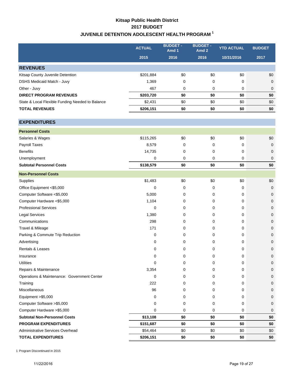## **Kitsap Public Health District 2017 BUDGET JUVENILE DETENTION ADOLESCENT HEALTH PROGRAM 1**

|                                                  | <b>ACTUAL</b> | <b>BUDGET -</b><br>Amd 1 | <b>BUDGET-</b><br>Amd 2 | <b>YTD ACTUAL</b> | <b>BUDGET</b> |
|--------------------------------------------------|---------------|--------------------------|-------------------------|-------------------|---------------|
|                                                  | 2015          | 2016                     | 2016                    | 10/31/2016        | 2017          |
| <b>REVENUES</b>                                  |               |                          |                         |                   |               |
| Kitsap County Juvenile Detention                 | \$201,884     | \$0                      | \$0                     | \$0               | \$0           |
| <b>DSHS Medicaid Match - Juvy</b>                | 1,369         | 0                        | 0                       | 0                 | $\mathbf 0$   |
| Other - Juvy                                     | 467           | 0                        | 0                       | 0                 | $\mathbf 0$   |
| <b>DIRECT PROGRAM REVENUES</b>                   | \$203,720     | \$0                      | \$0                     | \$0               | \$0           |
| State & Local Flexible Funding Needed to Balance | \$2,431       | \$0                      | \$0                     | \$0               | \$0           |
| <b>TOTAL REVENUES</b>                            | \$206,151     | \$0                      | \$0                     | \$0               | \$0           |
| <b>EXPENDITURES</b>                              |               |                          |                         |                   |               |
| <b>Personnel Costs</b>                           |               |                          |                         |                   |               |
| Salaries & Wages                                 | \$115,265     | \$0                      | \$0                     | \$0               | \$0           |
| Payroll Taxes                                    | 8,579         | 0                        | 0                       | 0                 | $\mathbf 0$   |
| <b>Benefits</b>                                  | 14,735        | 0                        | 0                       | 0                 | $\mathbf 0$   |
| Unemployment                                     | 0             | $\mathbf 0$              | 0                       | 0                 | $\mathbf 0$   |
| <b>Subtotal Personnel Costs</b>                  | \$138,579     | \$0                      | \$0                     | \$0               | \$0           |
| <b>Non-Personnel Costs</b>                       |               |                          |                         |                   |               |
| Supplies                                         | \$1,483       | \$0                      | \$0                     | \$0               | \$0           |
| Office Equipment <\$5,000                        | 0             | 0                        | 0                       | 0                 | $\mathbf 0$   |
| Computer Software <\$5,000                       | 5,000         | 0                        | 0                       | 0                 | 0             |
| Computer Hardware <\$5,000                       | 1,104         | 0                        | 0                       | 0                 | $\mathbf{0}$  |
| <b>Professional Services</b>                     | $\mathbf 0$   | 0                        | 0                       | 0                 | 0             |
| <b>Legal Services</b>                            | 1,380         | 0                        | 0                       | 0                 | 0             |
| Communications                                   | 298           | 0                        | 0                       | 0                 | $\mathbf 0$   |
| Travel & Mileage                                 | 171           | 0                        | 0                       | 0                 | 0             |
| Parking & Commute Trip Reduction                 | 0             | 0                        | 0                       | 0                 | $\mathbf{0}$  |
| Advertising                                      | 0             | 0                        | 0                       | 0                 | 0             |
| Rentals & Leases                                 | 0             | 0                        | 0                       | 0                 | 0             |
| Insurance                                        | 0             | 0                        | 0                       | 0                 | 0             |
| <b>Utilities</b>                                 | 0             | 0                        | 0                       | 0                 | 0             |
| Repairs & Maintenance                            | 3,354         | 0                        | 0                       | 0                 | 0             |
| Operations & Maintenance: Government Center      | 0             | 0                        | 0                       | 0                 | 0             |
| Training                                         | 222           | 0                        | 0                       | 0                 | 0             |
| Miscellaneous                                    | 96            | 0                        | 0                       | 0                 | $\mathbf{0}$  |
| Equipment > \$5,000                              | 0             | 0                        | 0                       | 0                 | $\mathbf 0$   |
| Computer Software > \$5,000                      | 0             | 0                        | 0                       | 0                 | 0             |
| Computer Hardware > \$5,000                      | 0             | 0                        | 0                       | 0                 | 0             |
| <b>Subtotal Non-Personnel Costs</b>              | \$13,108      | \$0                      | \$0                     | \$0               | \$0           |
| <b>PROGRAM EXPENDITURES</b>                      | \$151,687     | \$0                      | \$0                     | \$0               | \$0           |
| Administrative Services Overhead                 | \$54,464      | \$0                      | \$0                     | \$0               | \$0           |
| <b>TOTAL EXPENDITURES</b>                        | \$206,151     | \$0                      | \$0                     | \$0               | \$0           |

1 Program Discontinued in 2015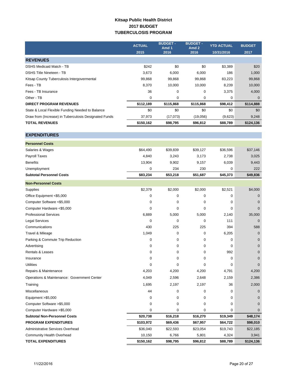### **Kitsap Public Health District 2017 BUDGET TUBERCULOSIS PROGRAM**

|                                                       | <b>ACTUAL</b> | <b>BUDGET -</b><br>Amd 1<br>2016 | <b>BUDGET -</b><br>Amd <sub>2</sub><br>2016 | <b>YTD ACTUAL</b> | <b>BUDGET</b> |
|-------------------------------------------------------|---------------|----------------------------------|---------------------------------------------|-------------------|---------------|
|                                                       | 2015          |                                  |                                             | 10/31/2016        | 2017          |
| <b>REVENUES</b>                                       |               |                                  |                                             |                   |               |
| <b>DSHS Medicaid Match - TB</b>                       | \$242         | \$0                              | \$0                                         | \$3,389           | \$20          |
| <b>DSHS Title Nineteen - TB</b>                       | 3,673         | 6,000                            | 6,000                                       | 186               | 1,000         |
| Kitsap County Tuberculosis Intergovermental           | 99,868        | 99,868                           | 99,868                                      | 83,223            | 99,868        |
| Fees - TB                                             | 8,370         | 10,000                           | 10,000                                      | 8,239             | 10,000        |
| Fees - TB Insurance                                   | 36            | 0                                | 0                                           | 3,375             | 4,000         |
| Other - TB                                            | 0             | 0                                | 0                                           | 0                 | $\mathbf 0$   |
| <b>DIRECT PROGRAM REVENUES</b>                        | \$112,189     | \$115,868                        | \$115,868                                   | \$98,412          | \$114,888     |
| State & Local Flexible Funding Needed to Balance      | \$0           | \$0                              | \$0                                         | \$0               | \$0           |
| Draw from (Increase) in Tuberculosis Designated Funds | 37,973        | (17, 073)                        | (19,056)                                    | (9,623)           | 9,248         |
| <b>TOTAL REVENUES</b>                                 | \$150,162     | \$98,795                         | \$96,812                                    | \$88,789          | \$124,136     |
| <b>EXPENDITURES</b>                                   |               |                                  |                                             |                   |               |
| <b>Personnel Costs</b>                                |               |                                  |                                             |                   |               |
| Salaries & Wages                                      | \$64,490      | \$39,839                         | \$39,127                                    | \$36,596          | \$37,146      |
| <b>Payroll Taxes</b>                                  | 4,840         | 3,243                            | 3,173                                       | 2,738             | 3,025         |
| <b>Benefits</b>                                       | 13,904        | 9,902                            | 9,157                                       | 6,039             | 9,443         |
| Unemployment                                          | 0             | 234                              | 230                                         | 0                 | 222           |
| <b>Subtotal Personnel Costs</b>                       | \$83,234      | \$53,218                         | \$51,687                                    | \$45,373          | \$49,836      |
| <b>Non-Personnel Costs</b>                            |               |                                  |                                             |                   |               |
| Supplies                                              | \$2,379       | \$2,000                          | \$2,000                                     | \$2,521           | \$4,000       |
| Office Equipment <\$5,000                             | $\mathbf 0$   | 0                                | 0                                           | 0                 | $\mathbf 0$   |
| Computer Software <\$5,000                            | 0             | 0                                | 0                                           | 0                 | $\mathbf{0}$  |
| Computer Hardware <\$5,000                            | 0             | 0                                | 0                                           | 0                 | $\mathbf 0$   |
| <b>Professional Services</b>                          | 6,889         | 5,000                            | 5,000                                       | 2,140             | 35,000        |
| Legal Services                                        | $\mathbf 0$   | 0                                | 0                                           | 111               | $\mathbf 0$   |
| Communications                                        | 430           | 225                              | 225                                         | 394               | 588           |
| Travel & Mileage                                      | 1,049         | 0                                | 0                                           | 6,205             | $\mathbf 0$   |
| Parking & Commute Trip Reduction                      | 0             | 0                                | 0                                           | 0                 | $\mathbf 0$   |
| Advertising                                           | 0             | 0                                | 0                                           | 0                 | 0             |
| Rentals & Leases                                      | 0             | 0                                | 0                                           | 992               | 0             |
| Insurance                                             | 0             | 0                                | 0                                           | 0                 | $\mathbf{0}$  |
| <b>Utilities</b>                                      | 0             | 0                                | 0                                           | 0                 | $\mathbf{0}$  |
| Repairs & Maintenance                                 | 4,203         | 4,200                            | 4,200                                       | 4,791             | 4,200         |
| Operations & Maintenance: Government Center           | 4,049         | 2,596                            | 2,648                                       | 2,159             | 2,386         |
| Training                                              | 1,695         | 2,197                            | 2,197                                       | 36                | 2,000         |
| Miscellaneous                                         | 44            | 0                                | 0                                           | 0                 | 0             |
| Equipment >\$5,000                                    | 0             | 0                                | 0                                           | 0                 | $\Omega$      |
| Computer Software > \$5,000                           | $\mathbf 0$   | 0                                | 0                                           | 0                 | $\mathbf{0}$  |
| Computer Hardware > \$5,000                           | 0             | 0                                | 0                                           | 0                 | $\Omega$      |
| <b>Subtotal Non-Personnel Costs</b>                   | \$20,738      | \$16,218                         | \$16,270                                    | \$19,349          | \$48,174      |
| <b>PROGRAM EXPENDITURES</b>                           | \$103,972     | \$69,436                         | \$67,957                                    | \$64,722          | \$98,010      |
| Administrative Services Overhead                      | \$36,040      | \$22,593                         | \$23,054                                    | \$19,743          | \$22,185      |

Community Health Overhead 2,941 **TOTAL EXPENDITURES \$150,162 \$98,795 \$96,812 \$88,789 \$124,136**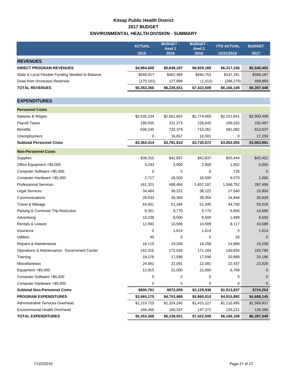## **Kitsap Public Health District 2017 BUDGET ENVIRONMENTAL HEALTH DIVISION - SUMMARY**

|                                                  | <b>ACTUAL</b> | <b>BUDGET -</b><br>Amd 1 | <b>BUDGET -</b><br>Amd <sub>2</sub> | <b>YTD ACTUAL</b> | <b>BUDGET</b> |
|--------------------------------------------------|---------------|--------------------------|-------------------------------------|-------------------|---------------|
|                                                  | 2015          | 2016                     | 2016                                | 10/31/2016        | 2017          |
| <b>REVENUES</b>                                  |               |                          |                                     |                   |               |
| <b>DIRECT PROGRAM REVENUES</b>                   | \$4,964,600   | \$5,648,187              | \$6,929,168                         | \$6,317,106       | \$5,540,402   |
| State & Local Flexible Funding Needed to Balance | \$558,927     | \$462,465                | \$494,753                           | \$147,281         | \$398,187     |
| Draw from (Increase) Reserves                    | (170, 161)    | 127,899                  | (1, 412)                            | (298, 279)        | 458,859       |
| <b>TOTAL REVENUES</b>                            | \$5,353,366   | \$6,238,551              | \$7,422,509                         | \$6,166,108       | \$6,397,448   |
|                                                  |               |                          |                                     |                   |               |
| <b>EXPENDITURES</b>                              |               |                          |                                     |                   |               |
| <b>Personnel Costs</b>                           |               |                          |                                     |                   |               |
| Salaries & Wages                                 | \$2,535,234   | \$2,801,601              | \$2,774,665                         | \$2,251,641       | \$2,900,498   |
| Payroll Taxes                                    | 190,935       | 231,273                  | 228,645                             | 169,332           | 232,497       |
| <b>Benefits</b>                                  | 638,245       | 732,379                  | 710,261                             | 581,082           | 813,637       |
| Unemployment                                     | 0             | 16,657                   | 16,501                              | 0                 | 17,259        |
| <b>Subtotal Personnel Costs</b>                  | \$3,364,414   | \$3,781,910              | \$3,730,072                         | \$3,002,055       | \$3,963,891   |
| <b>Non-Personnel Costs</b>                       |               |                          |                                     |                   |               |
| Supplies                                         | \$38,315      | \$42,837                 | \$42,837                            | \$25,444          | \$42,452      |
| Office Equipment <\$5,000                        | 4,243         | 2,900                    | 2,900                               | 1,852             | 5,000         |
| Computer Software <\$5,000                       | 0             | $\mathbf 0$              | 0                                   | 726               | 0             |
| Computer Hardware <\$5,000                       | 2,717         | 16,500                   | 16,500                              | 9,570             | 1,000         |
| <b>Professional Services</b>                     | 161,321       | 498,456                  | 1,657,187                           | 1,566,752         | 287,499       |
| <b>Legal Services</b>                            | 34,484        | 38,222                   | 38,222                              | 17,540            | 23,900        |
| Communications                                   | 28,533        | 39,356                   | 39,356                              | 24,848            | 30,828        |
| Travel & Mileage                                 | 64,931        | 51,345                   | 51,345                              | 44,790            | 55,018        |
| Parking & Commute Trip Reduction                 | 9,351         | 9,770                    | 9,770                               | 6,956             | 10,690        |
| Advertising                                      | 10,238        | 8,500                    | 8,500                               | 1,499             | 8,500         |
| Rentals & Leases                                 | 12,993        | 10,588                   | 10,588                              | 8,117             | 10,588        |
| Insurance                                        | 0             | 1,614                    | 1,614                               | 0                 | 1,614         |
| <b>Utilities</b>                                 | 49            | 0                        | 0                                   | 26                | $\Omega$      |
| Repairs & Maintenance                            | 16,119        | 19,258                   | 19,258                              | 14,889            | 19,258        |
| Operations & Maintenance: Government Center      | 162,315       | 172,036                  | 171,184                             | 140,655           | 183,795       |
| Training                                         | 18,176        | 17,596                   | 17,596                              | 20,968            | 20,186        |
| Miscellaneous                                    | 24,061        | 22,081                   | 22,081                              | 22,437            | 23,926        |
| Equipment >\$5,000                               | 12,915        | 21,000                   | 21,000                              | 6,768             | 0             |
| Computer Software > \$5,000                      | 0             | 0                        | 0                                   | 0                 | 0             |
| Computer Hardware > \$5,000                      | 0             | 0                        | 0                                   | 0                 | 0             |
| <b>Subtotal Non-Personnel Costs</b>              | \$600,761     | \$972,059                | \$2,129,938                         | \$1,913,837       | \$724,254     |
| <b>PROGRAM EXPENDITURES</b>                      | \$3,965,175   | \$4,753,969              | \$5,860,010                         | \$4,915,892       | \$4,688,145   |
| Administrative Services Overhead                 | \$1,219,725   | \$1,324,245              | \$1,415,127                         | \$1,116,995       | \$1,569,937   |
| Environmental Health Overhead                    | 168,466       | 160,337                  | 147,372                             | 133,221           | 139,366       |
| <b>TOTAL EXPENDITURES</b>                        | \$5,353,366   | \$6,238,551              | \$7,422,509                         | \$6,166,108       | \$6,397,448   |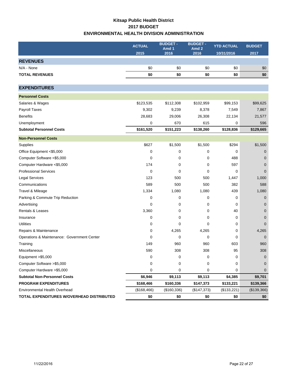## **Kitsap Public Health District 2017 BUDGET ENVIRONMENTAL HEALTH DIVISION ADMINISTRATION**

|                                             | <b>ACTUAL</b> | <b>BUDGET -</b><br>Amd 1 | <b>BUDGET -</b><br>Amd <sub>2</sub> | <b>YTD ACTUAL</b> | <b>BUDGET</b> |
|---------------------------------------------|---------------|--------------------------|-------------------------------------|-------------------|---------------|
|                                             | 2015          | 2016                     | 2016                                | 10/31/2016        | 2017          |
| <b>REVENUES</b>                             |               |                          |                                     |                   |               |
| N/A - None                                  | \$0           | \$0                      | \$0                                 | \$0               | \$0           |
| <b>TOTAL REVENUES</b>                       | \$0           | \$0                      | \$0                                 | \$0               | \$0           |
|                                             |               |                          |                                     |                   |               |
| <b>EXPENDITURES</b>                         |               |                          |                                     |                   |               |
| <b>Personnel Costs</b>                      |               |                          |                                     |                   |               |
| Salaries & Wages                            | \$123,535     | \$112,308                | \$102,959                           | \$99,153          | \$99,625      |
| Payroll Taxes                               | 9,302         | 9,239                    | 8,378                               | 7,549             | 7,867         |
| <b>Benefits</b>                             | 28,683        | 29,006                   | 26,308                              | 22,134            | 21,577        |
| Unemployment                                | 0             | 670                      | 615                                 | 0                 | 596           |
| <b>Subtotal Personnel Costs</b>             | \$161,520     | \$151,223                | \$138,260                           | \$128,836         | \$129,665     |
| <b>Non-Personnel Costs</b>                  |               |                          |                                     |                   |               |
| Supplies                                    | \$627         | \$1,500                  | \$1,500                             | \$294             | \$1,500       |
| Office Equipment <\$5,000                   | $\mathbf 0$   | 0                        | 0                                   | 0                 | $\mathbf 0$   |
| Computer Software <\$5,000                  | $\mathbf 0$   | 0                        | 0                                   | 488               | $\mathbf 0$   |
| Computer Hardware <\$5,000                  | 174           | 0                        | 0                                   | 597               | $\mathbf{0}$  |
| <b>Professional Services</b>                | $\mathbf 0$   | 0                        | 0                                   | 0                 | $\Omega$      |
| <b>Legal Services</b>                       | 123           | 500                      | 500                                 | 1,447             | 1,000         |
| Communications                              | 589           | 500                      | 500                                 | 382               | 588           |
| Travel & Mileage                            | 1,334         | 1,080                    | 1,080                               | 439               | 1,080         |
| Parking & Commute Trip Reduction            | 0             | 0                        | 0                                   | 0                 | $\mathbf 0$   |
| Advertising                                 | 0             | 0                        | 0                                   | 0                 | $\mathbf{0}$  |
| <b>Rentals &amp; Leases</b>                 | 3,360         | 0                        | 0                                   | 40                | $\mathbf 0$   |
| Insurance                                   | 0             | 0                        | 0                                   | 0                 | $\mathbf 0$   |
| <b>Utilities</b>                            | 0             | 0                        | 0                                   | 0                 | $\Omega$      |
| Repairs & Maintenance                       | 0             | 4,265                    | 4,265                               | 0                 | 4,265         |
| Operations & Maintenance: Government Center | $\mathbf 0$   | 0                        | 0                                   | 0                 | $\mathbf 0$   |
| Training                                    | 149           | 960                      | 960                                 | 603               | 960           |
| Miscellaneous                               | 590           | 308                      | 308                                 | 95                | 308           |
| Equipment > \$5,000                         | 0             | 0                        | 0                                   | 0                 | 0             |
| Computer Software > \$5,000                 | 0             | 0                        | 0                                   | 0                 | $\mathbf 0$   |
| Computer Hardware > \$5,000                 | 0             | 0                        | 0                                   | 0                 | 0             |
| <b>Subtotal Non-Personnel Costs</b>         | \$6,946       | \$9,113                  | \$9,113                             | \$4,385           | \$9,701       |
| PROGRAM EXPENDITURES                        | \$168,466     | \$160,336                | \$147,373                           | \$133,221         | \$139,366     |
| Environmental Health Overhead               | (\$168,466)   | (\$160,336)              | (\$147,373)                         | (\$133,221)       | (\$139,366)   |
| TOTAL EXPENDITURES W/OVERHEAD DISTRIBUTED   | \$0           | \$0                      | \$0                                 | \$0               | \$0           |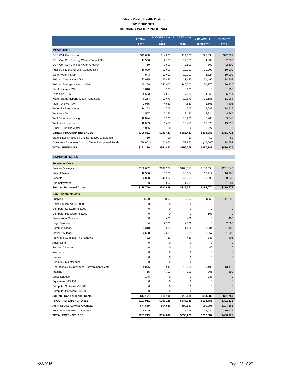#### **Kitsap Public Health District 2017 BUDGET DRINKING WATER PROGRAM**

|                                                      | <b>ACTUAL</b> |           | <b>BUDGET - Amd BUDGET - Amd</b> | <b>YTD ACTUAL</b> | <b>BUDGET</b> |
|------------------------------------------------------|---------------|-----------|----------------------------------|-------------------|---------------|
|                                                      | 2015          | 2016      | 2016                             | 10/31/2016        | 2017          |
| <b>REVENUES</b>                                      |               |           |                                  |                   |               |
| <b>DOE Well Construction</b>                         | \$19,608      | \$14,000  | \$14,000                         | \$23,538          | \$22,821      |
| DOH Con Con Drinking Water Group A SS                | 11,300        | 12.750    | 12.750                           | 4,800             | 32,750        |
| DOH Con Con Drinking Water Group A TA                | 750           | 2.500     | 2,500                            | 800               | 2,500         |
| <b>Public Utility District Well Construction</b>     | 10.000        | 10.000    | 10.000                           | 10.000            | 10,000        |
| Clean Water Kitsap                                   | 7,943         | 10,000    | 10,000                           | 6,824             | 10,000        |
| <b>Building Clearances - DW</b>                      | 27,935        | 27,443    | 27,443                           | 31,496            | 34,708        |
| Building Site Applications - DW                      | 158,200       | 140.000   | 140.000                          | 170.176           | 180,920       |
| Certifications - DW                                  | 1,810         | 905       | 905                              | 0                 | 905           |
| Land Use - DW                                        | 5,633         | 7.083     | 7.083                            | 4,560             | 5,711         |
| Water Status Reports (Loan Inspections)              | 8,264         | 10.673    | 10,673                           | 11,186            | 11,064        |
| Plan Reviews - DW                                    | 2,965         | 4.560     | 4.560                            | 2,501             | 4,405         |
| <b>Water Sanitary Surveys</b>                        | 14,103        | 14,715    | 14,715                           | 15,681            | 18,515        |
| Waivers - DW                                         | 2.507         | 2.180     | 2.180                            | 3,924             | 4,360         |
| Well Decommissioning                                 | 10,824        | 10,200    | 10,200                           | 8,200             | 9,348         |
| Well Site Inspections                                | 18,033        | 16,418    | 16,418                           | 11,070            | 13,715        |
| Other - Drinking Water                               | 1,006         | 0         | 0                                | 327               | $\mathbf 0$   |
| <b>DIRECT PROGRAM REVENUES</b>                       | \$300,881     | \$283,427 | \$283,427                        | \$305,083         | \$361,722     |
| State & Local Flexible Funding Needed to Balance     | \$0           | \$0       | \$0                              | \$0               | \$0           |
| Draw from (Increase) Drinking Water Designated Funds | (19,662)      | 71,460    | 72,852                           | (17,696)          | 74,653        |
| <b>TOTAL REVENUES</b>                                | \$281,219     | \$354,887 | \$356,279                        | \$287,387         | \$436,375     |

| <b>Personnel Costs</b>                      |           |             |             |           |              |
|---------------------------------------------|-----------|-------------|-------------|-----------|--------------|
| Salaries & Wages                            | \$136,632 | \$169,377   | \$168,317   | \$138,558 | \$201,547    |
| Payroll Taxes                               | 10,300    | 13,963      | 13,874      | 10,417    | 16,185       |
| <b>Benefits</b>                             | 32,808    | 46,682      | 45,159      | 35,099    | 60,838       |
| Unemployment                                | 0         | 1,007       | 1,001       | 0         | 1,201        |
| <b>Subtotal Personnel Costs</b>             | \$179,740 | \$231,029   | \$228,351   | \$184,074 | \$279,771    |
| <b>Non-Personnel Costs</b>                  |           |             |             |           |              |
| <b>Supplies</b>                             | \$430     | \$500       | \$500       | \$966     | \$1,252      |
| Office Equipment <\$5,000                   | 0         | 0           | $\mathbf 0$ | 0         | $\mathbf{0}$ |
| Computer Software <\$5,000                  | 0         | 0           | $\mathbf 0$ | 0         | $\Omega$     |
| Computer Hardware <\$5,000                  | 0         | 0           | $\Omega$    | 108       | $\Omega$     |
| <b>Professional Services</b>                | 0         | 400         | 400         | 0         | 400          |
| <b>Legal Services</b>                       | 84        | 2,500       | 2,500       | 0         | 2,500        |
| Communications                              | 1,318     | 1,680       | 1,680       | 1,034     | 1,488        |
| Travel & Mileage                            | 2,668     | 2,321       | 2,321       | 2,067     | 1,905        |
| Parking & Commute Trip Reduction            | 432       | 450         | 450         | 333       | 405          |
| Advertising                                 | $\Omega$  | 0           | $\Omega$    | $\Omega$  | $\Omega$     |
| Rentals & Leases                            | 0         | 0           | $\mathbf 0$ | 45        | $\Omega$     |
| Insurance                                   | 0         | $\mathbf 0$ | $\mathbf 0$ | 0         | $\mathbf{0}$ |
| <b>Utilities</b>                            | 0         | $\mathbf 0$ | $\mathbf 0$ | 0         | $\Omega$     |
| Repairs & Maintenance                       | 0         | 0           | $\mathbf 0$ | $\Omega$  | $\Omega$     |
| Operations & Maintenance: Government Center | 9.076     | 10.949      | 10,834      | 9,190     | 13.410       |
| Training                                    | 15        | 300         | 300         | 701       | 390          |
| Miscellaneous                               | 148       | 0           | $\mathbf 0$ | 238       | $\mathbf{0}$ |
| Equipment >\$5,000                          | 0         | 0           | $\mathbf 0$ | 0         | $\mathbf{0}$ |
| Computer Software >\$5,000                  | 0         | 0           | $\mathbf 0$ | 0         | $\mathbf{0}$ |
| Computer Hardware >\$5,000                  | 0         | 0           | 0           | 0         | $\mathbf{0}$ |
| <b>Subtotal Non-Personnel Costs</b>         | \$14,171  | \$19,100    | \$18,985    | \$14,682  | \$21,750     |
| <b>PROGRAM EXPENDITURES</b>                 | \$193,911 | \$250,129   | \$247,336   | \$198,756 | \$301,521    |
| <b>Administrative Services Overhead</b>     | \$77,859  | \$94,546    | \$99,567    | \$80,096  | \$124,683    |
| Environmental Health Overhead               | 9,449     | 10,212      | 9,376       | 8,535     | 10,171       |
| <b>TOTAL EXPENDITURES</b>                   | \$281,219 | \$354,887   | \$356,279   | \$287,387 | \$436,375    |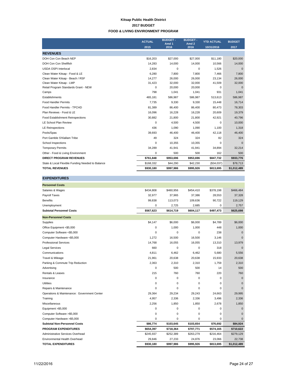#### **Kitsap Public Health District 2017 BUDGET FOOD & LIVING ENVIRONMENT PROGRAM**

|                                                  | <b>ACTUAL</b> | <b>BUDGET-</b><br>Amd <sub>1</sub> | <b>BUDGET-</b><br>Amd <sub>2</sub> | <b>YTD ACTUAL</b> | <b>BUDGET</b> |
|--------------------------------------------------|---------------|------------------------------------|------------------------------------|-------------------|---------------|
|                                                  | 2015          | 2016                               | 2016                               | 10/31/2016        | 2017          |
| <b>REVENUES</b>                                  |               |                                    |                                    |                   |               |
| DOH Con Con Beach NEP                            | \$16,203      | \$27,000                           | \$27,000                           | \$11,180          | \$20,000      |
| DOH Con Con Shellfish                            | 14,283        | 14,000                             | 14,000                             | 10,566            | 14,000        |
| <b>USDA OSPI Interlocal</b>                      | 2,834         | 0                                  | 0                                  | 1,526             | $\Omega$      |
| Clean Water Kitsap - Food & LE                   | 6.280         | 7.800                              | 7.800                              | 7.466             | 7,800         |
| Clean Water Kitsap - Beach / RSF                 | 14,277        | 26,000                             | 26,000                             | 23,134            | 26,000        |
| Clean Water Kitsap - LMP                         | 31,423        | 32,000                             | 32,000                             | 41,509            | 32,000        |
| Retail Program Standards Grant - NEW             | 0             | 20,000                             | 20,000                             | $\Omega$          | $\mathbf{0}$  |
| Camps                                            | 798           | 1.041                              | 1,041                              | 931               | 1,041         |
| <b>Establishments</b>                            | 465,181       | 586,987                            | 586,987                            | 513,613           | 586,987       |
| <b>Food Handler Permits</b>                      | 7,735         | 9,330                              | 9,330                              | 15,448            | 16,714        |
| Food Handler Permits - TPCHD                     | 81,389        | 86,400                             | 86,400                             | 80,473            | 78,303        |
| Plan Reviews - Food & LE                         | 16,096        | 16,228                             | 16,228                             | 20,609            | 19,379        |
| Food Establishment Reinspections                 | 30,882        | 21,800                             | 21.800                             | 42,921            | 40,796        |
| <b>LE School Plan Review</b>                     | 0             | 4,500                              | 4,500                              | $\Omega$          | 10,000        |
| <b>LE Reinspections</b>                          | 436           | 1,090                              | 1,090                              | 1,100             | 1,318         |
| Pools/Spas                                       | 39,693        | 46,400                             | 46,400                             | 42,118            | 46,400        |
| Port Gamble S'Klallam Tribe                      | 49            | 324                                | 324                                | 82                | 324           |
| School Inspections                               | 0             | 10,355                             | 10,355                             | $\Omega$          | $\Omega$      |
| <b>Temporary Permits</b>                         | 34,289        | 41,941                             | 41,941                             | 34,894            | 32,214        |
| Other - Food & Living Environment                | 0             | 500                                | 500                                | 162               | 500           |
| <b>DIRECT PROGRAM REVENUES</b>                   | \$761,848     | \$953,696                          | \$953,696                          | \$847,732         | \$933,776     |
| State & Local Flexible Funding Needed to Balance | \$168,332     | \$44,290                           | \$42,230                           | (\$34,037)        | \$78,713      |
| <b>TOTAL REVENUES</b>                            | \$930,180     | \$997,986                          | \$995,926                          | \$813,695         | \$1,012,489   |

| <b>Personnel Costs</b>                      |             |             |           |           |              |
|---------------------------------------------|-------------|-------------|-----------|-----------|--------------|
| Salaries & Wages                            | \$434,808   | \$460,956   | \$454,410 | \$378,198 | \$466,484    |
| Payroll Taxes                               | 32,977      | 37,965      | 37,386    | 28,553    | 37,328       |
| <b>Benefits</b>                             | 99,838      | 113,073     | 109,636   | 90,722    | 119,129      |
| Unemployment                                | 0           | 2,725       | 2,685     | 0         | 2,757        |
| <b>Subtotal Personnel Costs</b>             | \$567,623   | \$614,719   | \$604,117 | \$497,473 | \$625,698    |
| <b>Non-Personnel Costs</b>                  |             |             |           |           |              |
| Supplies                                    | \$4,147     | \$6,000     | \$6,000   | \$4,789   | \$6,000      |
| Office Equipment <\$5,000                   | 0           | 1,000       | 1,000     | 448       | 1,000        |
| Computer Software <\$5,000                  | 0           | $\mathbf 0$ | 0         | 238       | $\mathbf{0}$ |
| Computer Hardware <\$5,000                  | 1.272       | 16,500      | 16,500    | 3.146     | $\Omega$     |
| <b>Professional Services</b>                | 14,768      | 16,055      | 16,055    | 13,310    | 13,979       |
| <b>Legal Services</b>                       | 660         | $\mathbf 0$ | 0         | 318       | $\Omega$     |
| Communications                              | 4,811       | 6,462       | 6,462     | 5,680     | 5,556        |
| Travel & Mileage                            | 21,961      | 20,638      | 20,638    | 15,933    | 20,638       |
| Parking & Commute Trip Reduction            | 2,363       | 2,310       | 2,310     | 1,759     | 2,310        |
| Advertising                                 | $\mathbf 0$ | 500         | 500       | 14        | 500          |
| Rentals & Leases                            | 215         | 760         | 760       | 220       | 760          |
| Insurance                                   | $\mathbf 0$ | $\mathbf 0$ | 0         | $\Omega$  | $\Omega$     |
| <b>Utilities</b>                            | 0           | $\mathbf 0$ | 0         | 0         | $\Omega$     |
| Repairs & Maintenance                       | 0           | $\mathbf 0$ | 0         | 0         | $\mathbf{0}$ |
| Operations & Maintenance: Government Center | 29,364      | 29,234      | 29,243    | 24,663    | 29,995       |
| Training                                    | 4,957       | 2,336       | 2,336     | 3,496     | 2,336        |
| Miscellaneous                               | 2,256       | 1,850       | 1,850     | 2,678     | 1,850        |
| Equipment >\$5,000                          | 0           | $\mathbf 0$ | 0         | 0         | $\Omega$     |
| Computer Software >\$5,000                  | 0           | $\mathbf 0$ | 0         | 0         | $\Omega$     |
| Computer Hardware >\$5,000                  | 0           | 0           | 0         | 0         | $\Omega$     |
| <b>Subtotal Non-Personnel Costs</b>         | \$86,774    | \$103,645   | \$103,654 | \$76,692  | \$84,924     |
| <b>PROGRAM EXPENDITURES</b>                 | \$654,397   | \$718,364   | \$707,771 | \$574,165 | \$710,622    |
| Administrative Services Overhead            | \$245,937   | \$252,389   | \$263,279 | \$216,464 | \$279,129    |
| Environmental Health Overhead               | 29,846      | 27,233      | 24,876    | 23,066    | 22,738       |
| <b>TOTAL EXPENDITURES</b>                   | \$930,180   | \$997,986   | \$995,926 | \$813,695 | \$1,012,489  |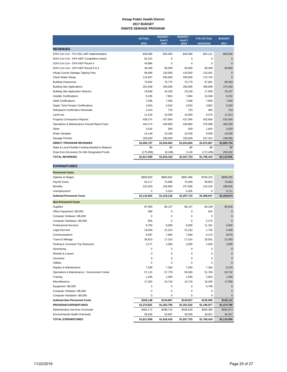#### **Kitsap Public Health District 2017 BUDGET ONSITE SEWAGE PROGRAM**

|                                                  | <b>ACTUAL</b> | <b>BUDGET -</b><br>Amd <sub>1</sub> | <b>BUDGET -</b><br>Amd <sub>2</sub> | <b>YTD ACTUAL</b> | <b>BUDGET</b> |
|--------------------------------------------------|---------------|-------------------------------------|-------------------------------------|-------------------|---------------|
|                                                  | 2015          | 2016                                | 2016                                | 10/31/2016        | 2017          |
| <b>REVENUES</b>                                  |               |                                     |                                     |                   |               |
| DOH Con Con - PS OSS LMP Implementation          | \$30,000      | \$45,000                            | \$45,000                            | \$32,111          | \$65,000      |
| DOH Con Con - EPA NEP Competitive Award          | 82.222        | 0                                   | $\Omega$                            | 0                 | $\mathbf{0}$  |
| DOH Con Con - EPA NEP Round 4                    | 44,888        | $\mathbf 0$                         | $\Omega$                            | $\Omega$          | $\Omega$      |
| DOH Con Con - EPA NEP Round 5 & 6                | 48,496        | 60,000                              | 60,000                              | 69,409            | 60,000        |
| Kitsap County Septage Tipping Fees               | 96.689        | 120.000                             | 120,000                             | 123.401           | $\mathbf{0}$  |
| Clean Water Kitsap                               | 114,657       | 200.000                             | 200.000                             | 172.742           | $\mathbf{0}$  |
| <b>Building Clearances</b>                       | 74,562        | 75,775                              | 75,775                              | 67,661            | 80,350        |
| <b>Building Site Applications</b>                | 291.848       | 260,000                             | 260,000                             | 306.699           | 374,930       |
| <b>Building Site Application Waivers</b>         | 19,838        | 16,228                              | 16,228                              | 17,658            | 19,237        |
| <b>Installer Certifications</b>                  | 9.196         | 7.964                               | 7.964                               | 10,048            | 9,231         |
| <b>O&amp;M Certifications</b>                    | 7.058         | 7.058                               | 7.058                               | 7.694             | 7.059         |
| Septic Tank Pumper Certifications                | 3,620         | 3,534                               | 3,534                               | 3,802             | 6,260         |
| <b>Delinquent Certification Renewals</b>         | 2,410         | 723                                 | 723                                 | 482               | 723           |
| Land Use                                         | 11,516        | 10.000                              | 10.000                              | 9.475             | 11,912        |
| <b>Property Conveyance Reports</b>               | 439.274       | 427.694                             | 427.694                             | 432.664           | 510,304       |
| Operations & Maintenance Annual Report Fees      | 444,174       | 449,800                             | 449,800                             | 379,998           | 460,200       |
| Other                                            | 3.018         | 500                                 | 500                                 | 1.643             | 2,020         |
| <b>Water Samples</b>                             | 10.148        | 10.328                              | 10.328                              | 9.928             | 10,528        |
| Sewage Permits                                   | 259,093       | 230,000                             | 230,000                             | 227,412           | 248,000       |
| <b>DIRECT PROGRAM REVENUES</b>                   | \$1,992,707   | \$1,924,604                         | \$1,924,604                         | \$1,872,827       | \$1,865,754   |
| State & Local Flexible Funding Needed to Balance | \$0           | \$0                                 | \$0                                 | \$0               | \$0           |
| Draw from (Increase) On-Site Designated Funds    | (175,098)     | (8, 188)                            | 3,149                               | (172, 408)        | 250,202       |
| <b>TOTAL REVENUES</b>                            | \$1,817,609   | \$1,916,416                         | \$1,927,753                         | \$1,700,419       | \$2,115,956   |

| <b>EXPENDITURES</b>                         |             |             |             |             |              |
|---------------------------------------------|-------------|-------------|-------------|-------------|--------------|
| <b>Personnel Costs</b>                      |             |             |             |             |              |
| Salaries & Wages                            | \$830,603   | \$894,842   | \$891,096   | \$784,210   | \$958,355    |
| Payroll Taxes                               | 62,117      | 73,996      | 73,456      | 58,603      | 76,963       |
| <b>Benefits</b>                             | 222,933     | 244,966     | 237,858     | 215,234     | 288,645      |
| Unemployment                                | 0           | 5,324       | 5,305       | $\mathbf 0$ | 5,711        |
| <b>Subtotal Personnel Costs</b>             | \$1,115,653 | \$1,219,128 | \$1,207,715 | \$1,058,047 | \$1,329,674  |
| <b>Non-Personnel Costs</b>                  |             |             |             |             |              |
| Supplies                                    | \$7,000     | \$5,137     | \$5,137     | \$3,108     | \$5,000      |
| Office Equipment <\$5,000                   | 680         | 0           | 0           | 624         | $\mathbf{0}$ |
| Computer Software <\$5,000                  | 0           | 0           | $\mathbf 0$ | 0           | $\mathbf{0}$ |
| Computer Hardware <\$5,000                  | 804         | 0           | 0           | 2,274       | $\Omega$     |
| <b>Professional Services</b>                | 8,760       | 8,009       | 8,009       | 11,341      | 9,592        |
| <b>Legal Services</b>                       | 18,356      | 21,222      | 21,222      | 1,726       | 4,400        |
| Communications                              | 8,487       | 7,694       | 7,694       | 6,174       | 8,676        |
| Travel & Mileage                            | 30,823      | 17,314      | 17,314      | 20,561      | 21,403       |
| Parking & Commute Trip Reduction            | 2,277       | 2,000       | 2,000       | 2,033       | 3,955        |
| Advertising                                 | 0           | 0           | 0           | 0           | $\mathbf{0}$ |
| Rentals & Leases                            | 0           | 0           | 0           | 0           | $\mathbf 0$  |
| Insurance                                   | 0           | 0           | 0           | $\Omega$    | $\Omega$     |
| Utilities                                   | 0           | 0           | 0           | $\Omega$    | $\Omega$     |
| Repairs & Maintenance                       | 7,339       | 7,294       | 7,294       | 7,294       | 9,276        |
| Operations & Maintenance: Government Center | 57,115      | 57,778      | 56,928      | 51,769      | 63,742       |
| Training                                    | 1,205       | 1,500       | 1,500       | 2.853       | 1,500        |
| Miscellaneous                               | 17,302      | 16,719      | 16,719      | 16,405      | 17,568       |
| Equipment >\$5,000                          | 0           | 0           | 0           | 6,768       | $\mathbf{0}$ |
| Computer Software >\$5,000                  | 0           | 0           | 0           | 0           | $\mathbf{0}$ |
| Computer Hardware >\$5,000                  | 0           | 0           | 0           | 0           | $\Omega$     |
| <b>Subtotal Non-Personnel Costs</b>         | \$160,148   | \$144,667   | \$143,817   | \$132,930   | \$145,112    |
| <b>PROGRAM EXPENDITURES</b>                 | \$1,275,801 | \$1,363,795 | \$1,351,532 | \$1,190,977 | \$1,474,786  |
| Administrative Services Overhead            | \$483,172   | \$498,724   | \$526,626   | \$460,385   | \$592,873    |
| Environmental Health Overhead               | 58,636      | 53,897      | 49,595      | 49,057      | 48,297       |
| <b>TOTAL EXPENDITURES</b>                   | \$1.817.609 | \$1.916.416 | \$1.927.753 | \$1.700.419 | \$2,115,956  |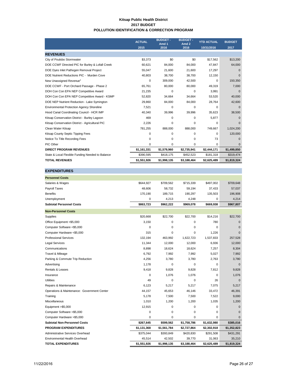#### **Kitsap Public Health District 2017 BUDGET POLLUTION IDENTIFICATION & CORRECTION PROGRAM**

|                                                  | <b>ACTUAL</b> | <b>BUDGET-</b><br>Amd 1 | <b>BUDGET-</b><br>Amd <sub>2</sub> | <b>YTD ACTUAL</b> | <b>BUDGET</b> |
|--------------------------------------------------|---------------|-------------------------|------------------------------------|-------------------|---------------|
|                                                  | 2015          | 2016                    | 2016                               | 10/31/2016        | 2017          |
| <b>REVENUES</b>                                  |               |                         |                                    |                   |               |
| City of Poulsbo Stormwater                       | \$3,373       | \$0                     | \$0                                | \$17,562          | \$13,200      |
| DOE CCWF Directed PIC for Burley & Lofall Creek  | 60,621        | 84,000                  | 84,000                             | 47,847            | 64,000        |
| DOE Dyes Inlet Pathogen Removal Project          | 55,047        | 21,600                  | 21,600                             | 17,297            | $\Omega$      |
| DOE Nutrient Reductions PIC - Murden Cove        | 40,803        | 38,700                  | 38,700                             | 12,150            | $\Omega$      |
| New Unassigned Revenue <sup>1</sup>              | 0             | 309,000                 | 42,500                             | $\Omega$          | 150,350       |
| DOE CCWF - Port Orchard Passage - Phase 2        | 65,761        | 80,000                  | 80,000                             | 49,319            | 7,000         |
| DOH Con Con EPA NEP Competitive Award            | 21,235        | $\Omega$                | 0                                  | 3,991             | $\mathbf 0$   |
| DOH Con Con EPA NEP Competitive Award - KSMP     | 52,820        | 34,664                  | 34.664                             | 53.520            | 40,000        |
| DOE NEP Nutrient Reduction - Lake Symington      | 29,860        | 84,000                  | 84,000                             | 28,764            | 42,600        |
| <b>Environmental Protection Agency Shoreline</b> | 7,521         | $\Omega$                | $\Omega$                           | 0                 | $\Omega$      |
| Hood Canal Coordinating Council - HCR IMP        | 40,340        | 39,996                  | 39,996                             | 35,623            | 38,500        |
| Kitsap Conservation District - Burley Lagoon     | 469           | $\Omega$                | $\Omega$                           | 5,877             | $\Omega$      |
| Kitsap Conservation District - Agricultural PIC  | 2,226         | 0                       | 0                                  | 0                 | $\Omega$      |
| Clean Water Kitsap                               | 781,255       | 888,000                 | 888,000                            | 749,667           | 1,024,200     |
| Kitsap County Septic Tipping Fees                | 0             | 0                       | 0                                  | $\Omega$          | 120,000       |
| Notice To Title Recording Fees                   | 0             | 0                       | 0                                  | 73                | $\mathbf 0$   |
| PIC Other                                        | 0             | 0                       | 0                                  | 0                 | $\mathbf{0}$  |
| <b>DIRECT PROGRAM REVENUES</b>                   | \$1,161,331   | \$1,579,960             | \$2,735,941                        | \$2,444,171       | \$1,499,850   |
| State & Local Flexible Funding Needed to Balance | \$390,595     | \$418,175               | \$452,523                          | \$181,318         | \$319,474     |
| <b>TOTAL REVENUES</b>                            | \$1,551,926   | \$1,998,135             | \$3,188,464                        | \$2,625,489       | \$1,819,324   |

| <b>EXPENDITURES</b>                         |             |             |             |             |              |
|---------------------------------------------|-------------|-------------|-------------|-------------|--------------|
| <b>Personnel Costs</b>                      |             |             |             |             |              |
| Salaries & Wages                            | \$644,927   | \$709,562   | \$715,339   | \$497,002   | \$709,648    |
| Payroll Taxes                               | 48,606      | 58,732      | 59,194      | 37,433      | 57,037       |
| <b>Benefits</b>                             | 170,190     | 189,715     | 190,297     | 135,503     | 196,908      |
| Unemployment                                | 0           | 4,213       | 4,248       | 0           | 4,214        |
| <b>Subtotal Personnel Costs</b>             | \$863,723   | \$962,222   | \$969,078   | \$669,938   | \$967,807    |
| <b>Non-Personnel Costs</b>                  |             |             |             |             |              |
| Supplies                                    | \$20,668    | \$22,700    | \$22,700    | \$14,216    | \$22,700     |
| Office Equipment <\$5,000                   | 3,150       | 0           | 0           | 780         | $\mathbf{0}$ |
| Computer Software <\$5,000                  | 0           | 0           | 0           | 0           | $\mathbf 0$  |
| Computer Hardware <\$5,000                  | 315         | 0           | 0           | 1,226       | $\mathbf{0}$ |
| <b>Professional Services</b>                | 132,194     | 463,992     | 1,622,723   | 1,537,833   | 257,528      |
| <b>Legal Services</b>                       | 11,344      | 12,000      | 12,000      | 6,936       | 12,000       |
| Communications                              | 8,898       | 18,624      | 18,624      | 7,257       | 8,304        |
| Travel & Mileage                            | 6,792       | 7,992       | 7,992       | 5,027       | 7,992        |
| Parking & Commute Trip Reduction            | 4,256       | 3,780       | 3,780       | 2,763       | 3,780        |
| Advertising                                 | 1,178       | 0           | 0           | 0           | $\mathbf{0}$ |
| Rentals & Leases                            | 9,418       | 9,828       | 9,828       | 7,812       | 9,828        |
| Insurance                                   | 0           | 1,076       | 1,076       | $\mathbf 0$ | 1,076        |
| <b>Utilities</b>                            | 49          | 0           | 0           | 26          | $\Omega$     |
| Repairs & Maintenance                       | 6,123       | 5,217       | 5,217       | 7,075       | 5,217        |
| Operations & Maintenance: Government Center | 44,157      | 45,653      | 46,146      | 33,472      | 46,391       |
| Training                                    | 5,178       | 7,500       | 7,500       | 7,522       | 9,000        |
| Miscellaneous                               | 1,010       | 1,200       | 1,200       | 1,035       | 1,200        |
| Equipment >\$5,000                          | 12,915      | 0           | 0           | 0           | $\mathbf{0}$ |
| Computer Software >\$5,000                  | 0           | 0           | 0           | 0           | $\Omega$     |
| Computer Hardware >\$5,000                  | 0           | 0           | 0           | 0           | $\Omega$     |
| <b>Subtotal Non-Personnel Costs</b>         | \$267,645   | \$599,562   | \$1,758,786 | \$1,632,980 | \$385,016    |
| <b>PROGRAM EXPENDITURES</b>                 | \$1,131,368 | \$1,561,784 | \$2,727,864 | \$2,302,918 | \$1,352,823  |
| Administrative Services Overhead            | \$375,044   | \$393,849   | \$420,830   | \$291,508   | \$431,291    |
| Environmental Health Overhead               | 45,514      | 42,502      | 39,770      | 31,063      | 35,210       |
| <b>TOTAL EXPENDITURES</b>                   | \$1,551,926 | \$1,998,135 | \$3,188,464 | \$2,625,489 | \$1,819,324  |